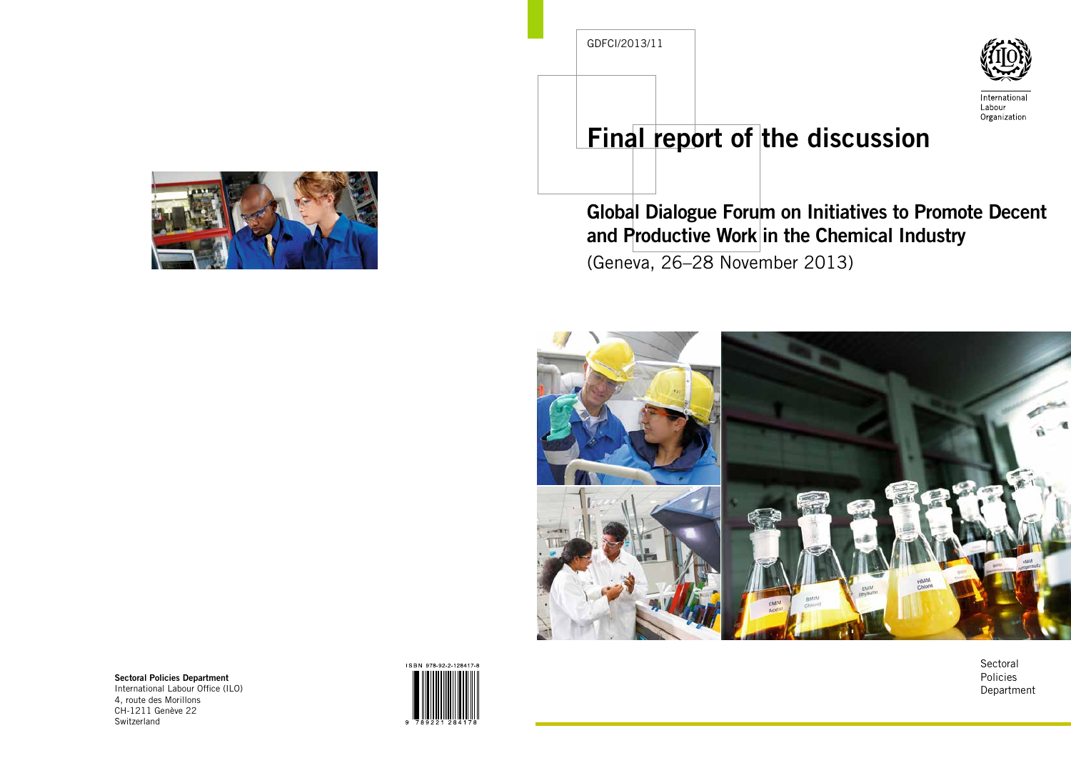

International Labour Organization

# Final report of the discussion

# Global Dialogue Forum on Initiatives to Promote Decent and Productive Work in the Chemical Industry

(Geneva, 26–28 November 2013)



**Sectoral** Policies Department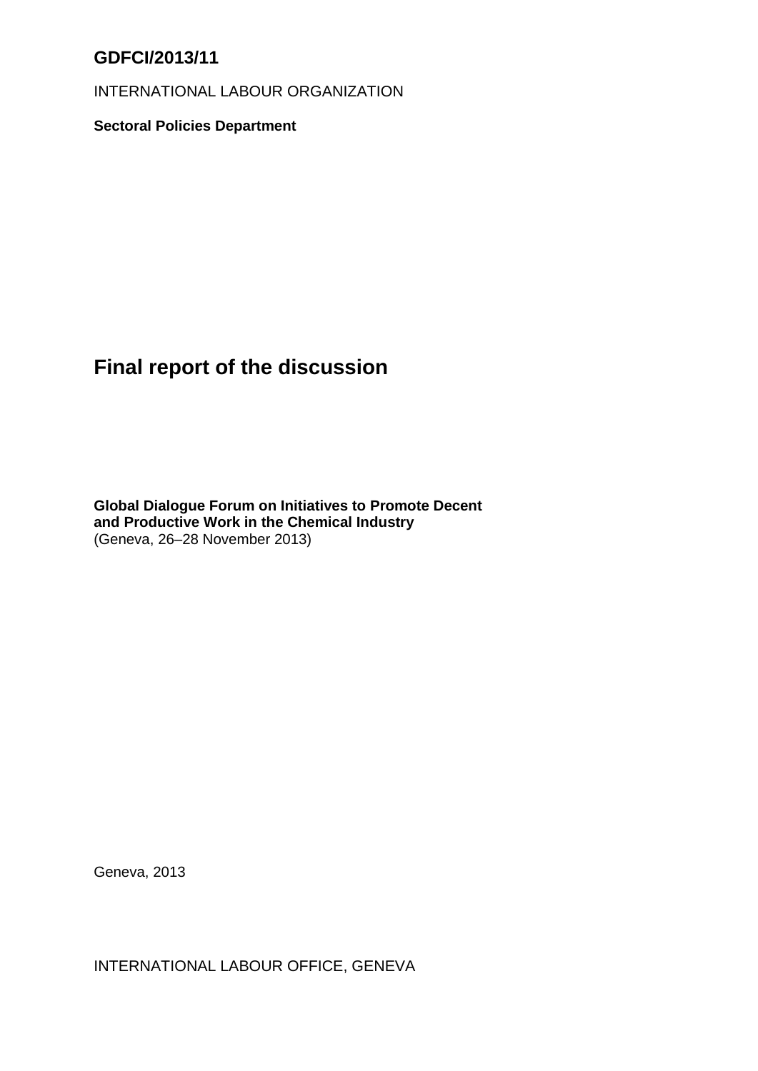# **GDFCI/2013/11**

INTERNATIONAL LABOUR ORGANIZATION

**Sectoral Policies Department**

# **Final report of the discussion**

**Global Dialogue Forum on Initiatives to Promote Decent and Productive Work in the Chemical Industry** (Geneva, 26–28 November 2013)

Geneva, 2013

INTERNATIONAL LABOUR OFFICE, GENEVA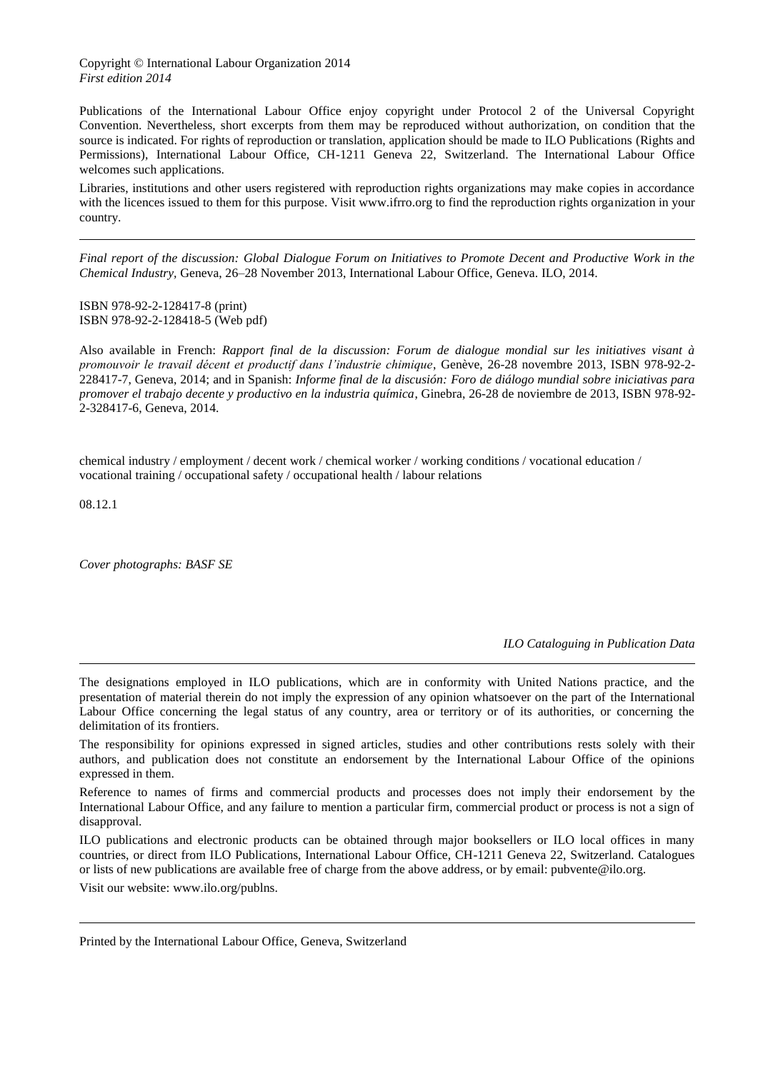Copyright © International Labour Organization 2014 *First edition 2014*

Publications of the International Labour Office enjoy copyright under Protocol 2 of the Universal Copyright Convention. Nevertheless, short excerpts from them may be reproduced without authorization, on condition that the source is indicated. For rights of reproduction or translation, application should be made to ILO Publications (Rights and Permissions), International Labour Office, CH-1211 Geneva 22, Switzerland. The International Labour Office welcomes such applications.

Libraries, institutions and other users registered with reproduction rights organizations may make copies in accordance with the licences issued to them for this purpose. Visit www.ifrro.org to find the reproduction rights organization in your country.

*Final report of the discussion: Global Dialogue Forum on Initiatives to Promote Decent and Productive Work in the Chemical Industry,* Geneva, 26–28 November 2013, International Labour Office, Geneva. ILO, 2014.

ISBN 978-92-2-128417-8 (print) ISBN 978-92-2-128418-5 (Web pdf)

Also available in French: *Rapport final de la discussion: Forum de dialogue mondial sur les initiatives visant à promouvoir le travail décent et productif dans l'industrie chimique*, Genève, 26-28 novembre 2013, ISBN 978-92-2- 228417-7, Geneva, 2014; and in Spanish: *Informe final de la discusión: Foro de diálogo mundial sobre iniciativas para promover el trabajo decente y productivo en la industria química*, Ginebra, 26-28 de noviembre de 2013, ISBN 978-92- 2-328417-6, Geneva, 2014.

chemical industry / employment / decent work / chemical worker / working conditions / vocational education / vocational training / occupational safety / occupational health / labour relations

08.12.1

*Cover photographs: BASF SE*

*ILO Cataloguing in Publication Data*

The designations employed in ILO publications, which are in conformity with United Nations practice, and the presentation of material therein do not imply the expression of any opinion whatsoever on the part of the International Labour Office concerning the legal status of any country, area or territory or of its authorities, or concerning the delimitation of its frontiers.

The responsibility for opinions expressed in signed articles, studies and other contributions rests solely with their authors, and publication does not constitute an endorsement by the International Labour Office of the opinions expressed in them.

Reference to names of firms and commercial products and processes does not imply their endorsement by the International Labour Office, and any failure to mention a particular firm, commercial product or process is not a sign of disapproval.

ILO publications and electronic products can be obtained through major booksellers or ILO local offices in many countries, or direct from ILO Publications, International Labour Office, CH-1211 Geneva 22, Switzerland. Catalogues or lists of new publications are available free of charge from the above address, or by email: pubvente@ilo.org.

Visit our website: www.ilo.org/publns.

Printed by the International Labour Office, Geneva, Switzerland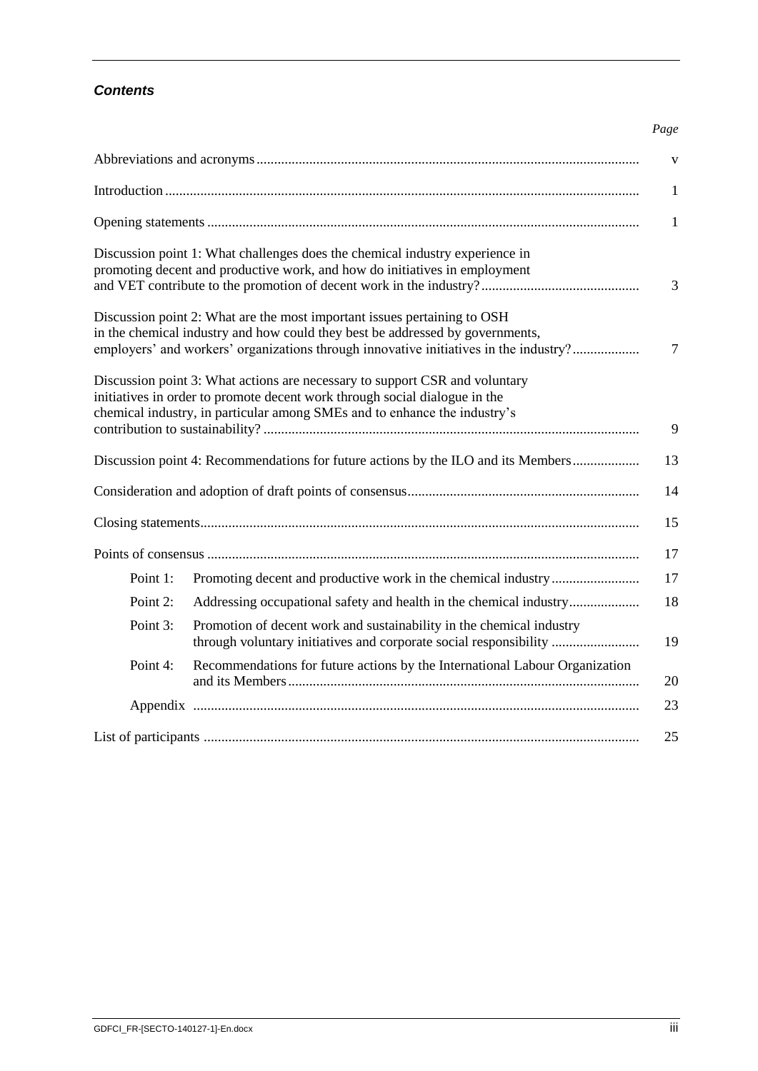# *Contents*

#### *Page*

|          |                                                                                                                                                                                                                                        | $\mathbf{V}$ |
|----------|----------------------------------------------------------------------------------------------------------------------------------------------------------------------------------------------------------------------------------------|--------------|
|          |                                                                                                                                                                                                                                        | $\mathbf{1}$ |
|          |                                                                                                                                                                                                                                        | $\mathbf{1}$ |
|          | Discussion point 1: What challenges does the chemical industry experience in<br>promoting decent and productive work, and how do initiatives in employment                                                                             | 3            |
|          | Discussion point 2: What are the most important issues pertaining to OSH                                                                                                                                                               |              |
|          | in the chemical industry and how could they best be addressed by governments,                                                                                                                                                          |              |
|          | employers' and workers' organizations through innovative initiatives in the industry?                                                                                                                                                  | 7            |
|          | Discussion point 3: What actions are necessary to support CSR and voluntary<br>initiatives in order to promote decent work through social dialogue in the<br>chemical industry, in particular among SMEs and to enhance the industry's | 9            |
|          |                                                                                                                                                                                                                                        |              |
|          | Discussion point 4: Recommendations for future actions by the ILO and its Members                                                                                                                                                      | 13           |
|          |                                                                                                                                                                                                                                        | 14           |
|          |                                                                                                                                                                                                                                        | 15           |
|          |                                                                                                                                                                                                                                        | 17           |
| Point 1: |                                                                                                                                                                                                                                        | 17           |
| Point 2: | Addressing occupational safety and health in the chemical industry                                                                                                                                                                     | 18           |
| Point 3: | Promotion of decent work and sustainability in the chemical industry<br>through voluntary initiatives and corporate social responsibility                                                                                              | 19           |
| Point 4: | Recommendations for future actions by the International Labour Organization                                                                                                                                                            | 20           |
|          |                                                                                                                                                                                                                                        | 23           |
|          |                                                                                                                                                                                                                                        | 25           |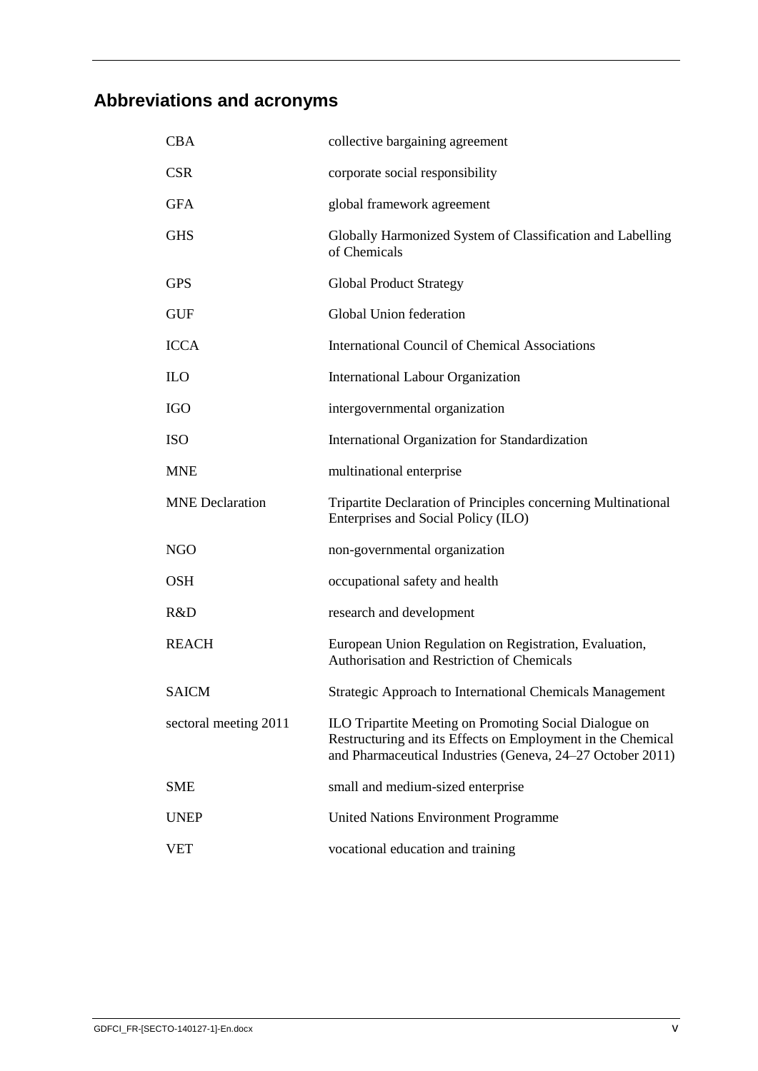# <span id="page-5-0"></span>**Abbreviations and acronyms**

| <b>CBA</b>             | collective bargaining agreement                                                                                                                                                     |
|------------------------|-------------------------------------------------------------------------------------------------------------------------------------------------------------------------------------|
| <b>CSR</b>             | corporate social responsibility                                                                                                                                                     |
| <b>GFA</b>             | global framework agreement                                                                                                                                                          |
| <b>GHS</b>             | Globally Harmonized System of Classification and Labelling<br>of Chemicals                                                                                                          |
| <b>GPS</b>             | <b>Global Product Strategy</b>                                                                                                                                                      |
| GUF                    | Global Union federation                                                                                                                                                             |
| <b>ICCA</b>            | <b>International Council of Chemical Associations</b>                                                                                                                               |
| <b>ILO</b>             | <b>International Labour Organization</b>                                                                                                                                            |
| IGO                    | intergovernmental organization                                                                                                                                                      |
| <b>ISO</b>             | International Organization for Standardization                                                                                                                                      |
| <b>MNE</b>             | multinational enterprise                                                                                                                                                            |
| <b>MNE</b> Declaration | Tripartite Declaration of Principles concerning Multinational<br>Enterprises and Social Policy (ILO)                                                                                |
| NGO                    | non-governmental organization                                                                                                                                                       |
| OSH                    | occupational safety and health                                                                                                                                                      |
| R&D                    | research and development                                                                                                                                                            |
| <b>REACH</b>           | European Union Regulation on Registration, Evaluation,<br>Authorisation and Restriction of Chemicals                                                                                |
| <b>SAICM</b>           | <b>Strategic Approach to International Chemicals Management</b>                                                                                                                     |
| sectoral meeting 2011  | ILO Tripartite Meeting on Promoting Social Dialogue on<br>Restructuring and its Effects on Employment in the Chemical<br>and Pharmaceutical Industries (Geneva, 24-27 October 2011) |
| <b>SME</b>             | small and medium-sized enterprise                                                                                                                                                   |
| <b>UNEP</b>            | <b>United Nations Environment Programme</b>                                                                                                                                         |
| <b>VET</b>             | vocational education and training                                                                                                                                                   |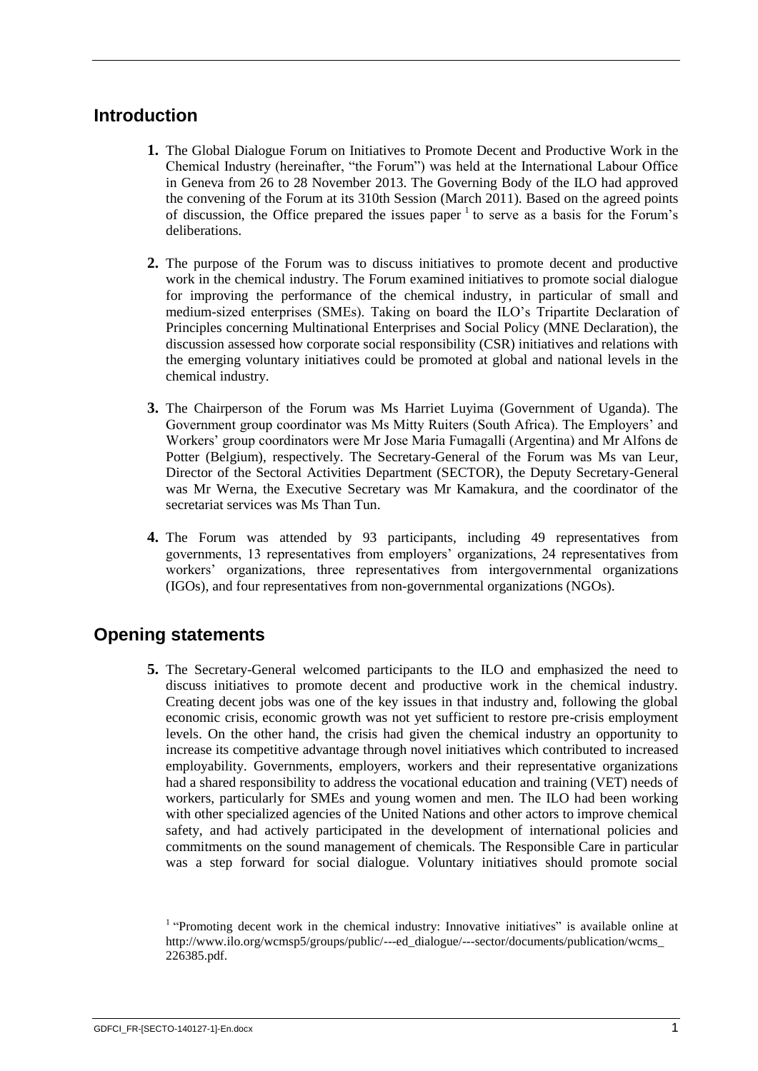# <span id="page-7-0"></span>**Introduction**

- **1.** The Global Dialogue Forum on Initiatives to Promote Decent and Productive Work in the Chemical Industry (hereinafter, "the Forum") was held at the International Labour Office in Geneva from 26 to 28 November 2013. The Governing Body of the ILO had approved the convening of the Forum at its 310th Session (March 2011). Based on the agreed points of discussion, the Office prepared the issues paper  $1$  to serve as a basis for the Forum's deliberations.
- **2.** The purpose of the Forum was to discuss initiatives to promote decent and productive work in the chemical industry. The Forum examined initiatives to promote social dialogue for improving the performance of the chemical industry, in particular of small and medium-sized enterprises (SMEs). Taking on board the ILO's Tripartite Declaration of Principles concerning Multinational Enterprises and Social Policy (MNE Declaration), the discussion assessed how corporate social responsibility (CSR) initiatives and relations with the emerging voluntary initiatives could be promoted at global and national levels in the chemical industry.
- **3.** The Chairperson of the Forum was Ms Harriet Luyima (Government of Uganda). The Government group coordinator was Ms Mitty Ruiters (South Africa). The Employers' and Workers' group coordinators were Mr Jose Maria Fumagalli (Argentina) and Mr Alfons de Potter (Belgium), respectively. The Secretary-General of the Forum was Ms van Leur, Director of the Sectoral Activities Department (SECTOR), the Deputy Secretary-General was Mr Werna, the Executive Secretary was Mr Kamakura, and the coordinator of the secretariat services was Ms Than Tun.
- **4.** The Forum was attended by 93 participants, including 49 representatives from governments, 13 representatives from employers' organizations, 24 representatives from workers' organizations, three representatives from intergovernmental organizations (IGOs), and four representatives from non-governmental organizations (NGOs).

# <span id="page-7-1"></span>**Opening statements**

**5.** The Secretary-General welcomed participants to the ILO and emphasized the need to discuss initiatives to promote decent and productive work in the chemical industry. Creating decent jobs was one of the key issues in that industry and, following the global economic crisis, economic growth was not yet sufficient to restore pre-crisis employment levels. On the other hand, the crisis had given the chemical industry an opportunity to increase its competitive advantage through novel initiatives which contributed to increased employability. Governments, employers, workers and their representative organizations had a shared responsibility to address the vocational education and training (VET) needs of workers, particularly for SMEs and young women and men. The ILO had been working with other specialized agencies of the United Nations and other actors to improve chemical safety, and had actively participated in the development of international policies and commitments on the sound management of chemicals. The Responsible Care in particular was a step forward for social dialogue. Voluntary initiatives should promote social

<sup>&</sup>lt;sup>1</sup> "Promoting decent work in the chemical industry: Innovative initiatives" is available online at http://www.ilo.org/wcmsp5/groups/public/---ed\_dialogue/---sector/documents/publication/wcms\_ 226385.pdf.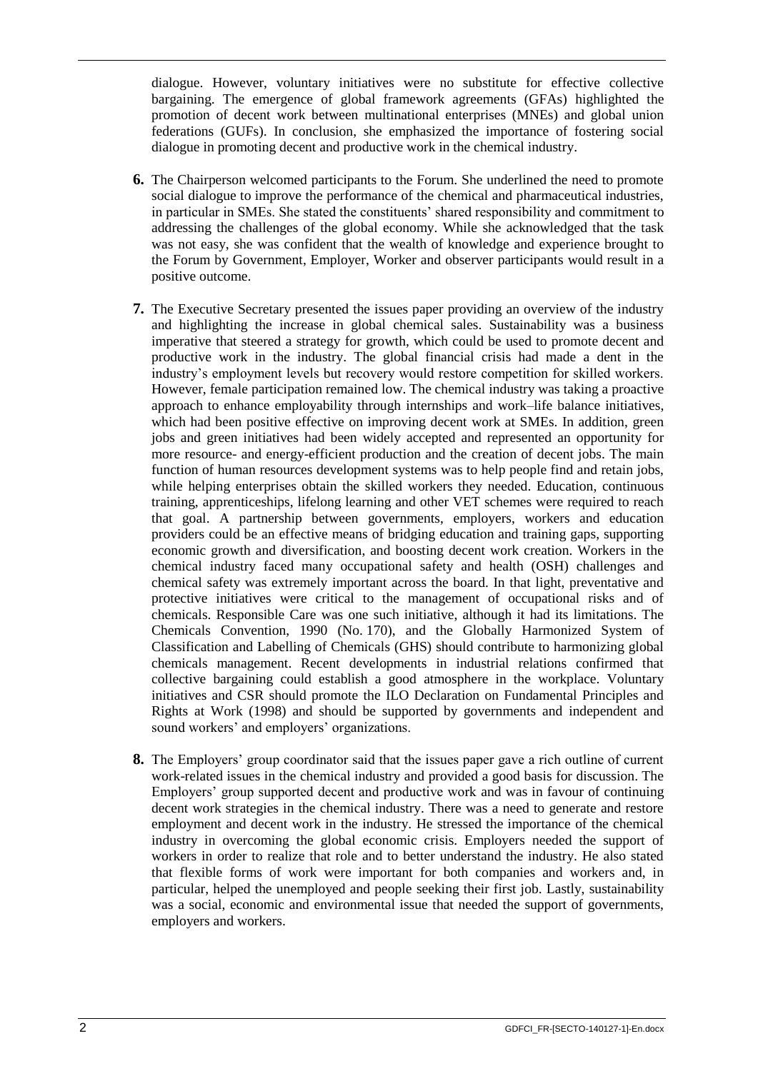dialogue. However, voluntary initiatives were no substitute for effective collective bargaining. The emergence of global framework agreements (GFAs) highlighted the promotion of decent work between multinational enterprises (MNEs) and global union federations (GUFs). In conclusion, she emphasized the importance of fostering social dialogue in promoting decent and productive work in the chemical industry.

- **6.** The Chairperson welcomed participants to the Forum. She underlined the need to promote social dialogue to improve the performance of the chemical and pharmaceutical industries, in particular in SMEs. She stated the constituents' shared responsibility and commitment to addressing the challenges of the global economy. While she acknowledged that the task was not easy, she was confident that the wealth of knowledge and experience brought to the Forum by Government, Employer, Worker and observer participants would result in a positive outcome.
- **7.** The Executive Secretary presented the issues paper providing an overview of the industry and highlighting the increase in global chemical sales. Sustainability was a business imperative that steered a strategy for growth, which could be used to promote decent and productive work in the industry. The global financial crisis had made a dent in the industry's employment levels but recovery would restore competition for skilled workers. However, female participation remained low. The chemical industry was taking a proactive approach to enhance employability through internships and work–life balance initiatives, which had been positive effective on improving decent work at SMEs. In addition, green jobs and green initiatives had been widely accepted and represented an opportunity for more resource- and energy-efficient production and the creation of decent jobs. The main function of human resources development systems was to help people find and retain jobs, while helping enterprises obtain the skilled workers they needed. Education, continuous training, apprenticeships, lifelong learning and other VET schemes were required to reach that goal. A partnership between governments, employers, workers and education providers could be an effective means of bridging education and training gaps, supporting economic growth and diversification, and boosting decent work creation. Workers in the chemical industry faced many occupational safety and health (OSH) challenges and chemical safety was extremely important across the board. In that light, preventative and protective initiatives were critical to the management of occupational risks and of chemicals. Responsible Care was one such initiative, although it had its limitations. The Chemicals Convention, 1990 (No. 170), and the Globally Harmonized System of Classification and Labelling of Chemicals (GHS) should contribute to harmonizing global chemicals management. Recent developments in industrial relations confirmed that collective bargaining could establish a good atmosphere in the workplace. Voluntary initiatives and CSR should promote the ILO Declaration on Fundamental Principles and Rights at Work (1998) and should be supported by governments and independent and sound workers' and employers' organizations.
- **8.** The Employers' group coordinator said that the issues paper gave a rich outline of current work-related issues in the chemical industry and provided a good basis for discussion. The Employers' group supported decent and productive work and was in favour of continuing decent work strategies in the chemical industry. There was a need to generate and restore employment and decent work in the industry. He stressed the importance of the chemical industry in overcoming the global economic crisis. Employers needed the support of workers in order to realize that role and to better understand the industry. He also stated that flexible forms of work were important for both companies and workers and, in particular, helped the unemployed and people seeking their first job. Lastly, sustainability was a social, economic and environmental issue that needed the support of governments, employers and workers.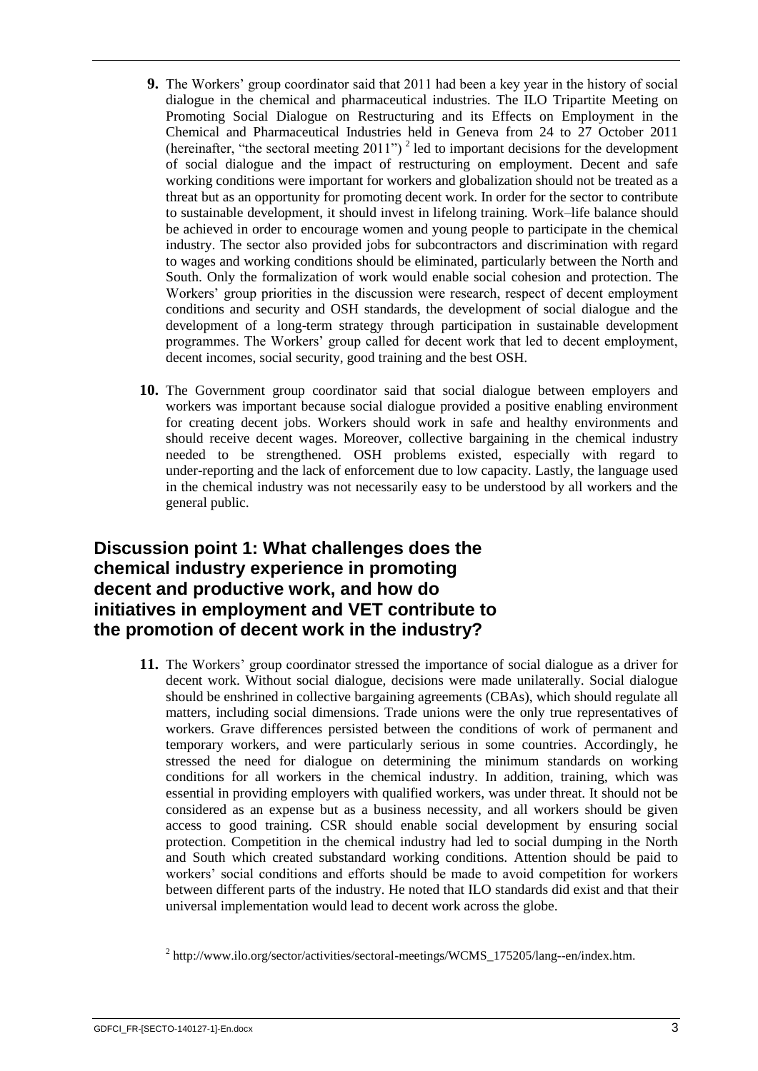- **9.** The Workers' group coordinator said that 2011 had been a key year in the history of social dialogue in the chemical and pharmaceutical industries. The ILO Tripartite Meeting on Promoting Social Dialogue on Restructuring and its Effects on Employment in the Chemical and Pharmaceutical Industries held in Geneva from 24 to 27 October 2011 (hereinafter, "the sectoral meeting  $2011$ ")<sup>2</sup> led to important decisions for the development of social dialogue and the impact of restructuring on employment. Decent and safe working conditions were important for workers and globalization should not be treated as a threat but as an opportunity for promoting decent work. In order for the sector to contribute to sustainable development, it should invest in lifelong training. Work–life balance should be achieved in order to encourage women and young people to participate in the chemical industry. The sector also provided jobs for subcontractors and discrimination with regard to wages and working conditions should be eliminated, particularly between the North and South. Only the formalization of work would enable social cohesion and protection. The Workers' group priorities in the discussion were research, respect of decent employment conditions and security and OSH standards, the development of social dialogue and the development of a long-term strategy through participation in sustainable development programmes. The Workers' group called for decent work that led to decent employment, decent incomes, social security, good training and the best OSH.
- **10.** The Government group coordinator said that social dialogue between employers and workers was important because social dialogue provided a positive enabling environment for creating decent jobs. Workers should work in safe and healthy environments and should receive decent wages. Moreover, collective bargaining in the chemical industry needed to be strengthened. OSH problems existed, especially with regard to under-reporting and the lack of enforcement due to low capacity. Lastly, the language used in the chemical industry was not necessarily easy to be understood by all workers and the general public.

# <span id="page-9-0"></span>**Discussion point 1: What challenges does the chemical industry experience in promoting decent and productive work, and how do initiatives in employment and VET contribute to the promotion of decent work in the industry?**

**11.** The Workers' group coordinator stressed the importance of social dialogue as a driver for decent work. Without social dialogue, decisions were made unilaterally. Social dialogue should be enshrined in collective bargaining agreements (CBAs), which should regulate all matters, including social dimensions. Trade unions were the only true representatives of workers. Grave differences persisted between the conditions of work of permanent and temporary workers, and were particularly serious in some countries. Accordingly, he stressed the need for dialogue on determining the minimum standards on working conditions for all workers in the chemical industry. In addition, training, which was essential in providing employers with qualified workers, was under threat. It should not be considered as an expense but as a business necessity, and all workers should be given access to good training. CSR should enable social development by ensuring social protection. Competition in the chemical industry had led to social dumping in the North and South which created substandard working conditions. Attention should be paid to workers' social conditions and efforts should be made to avoid competition for workers between different parts of the industry. He noted that ILO standards did exist and that their universal implementation would lead to decent work across the globe.

 $^{2}$  http://www.ilo.org/sector/activities/sectoral-meetings/WCMS\_175205/lang--en/index.htm.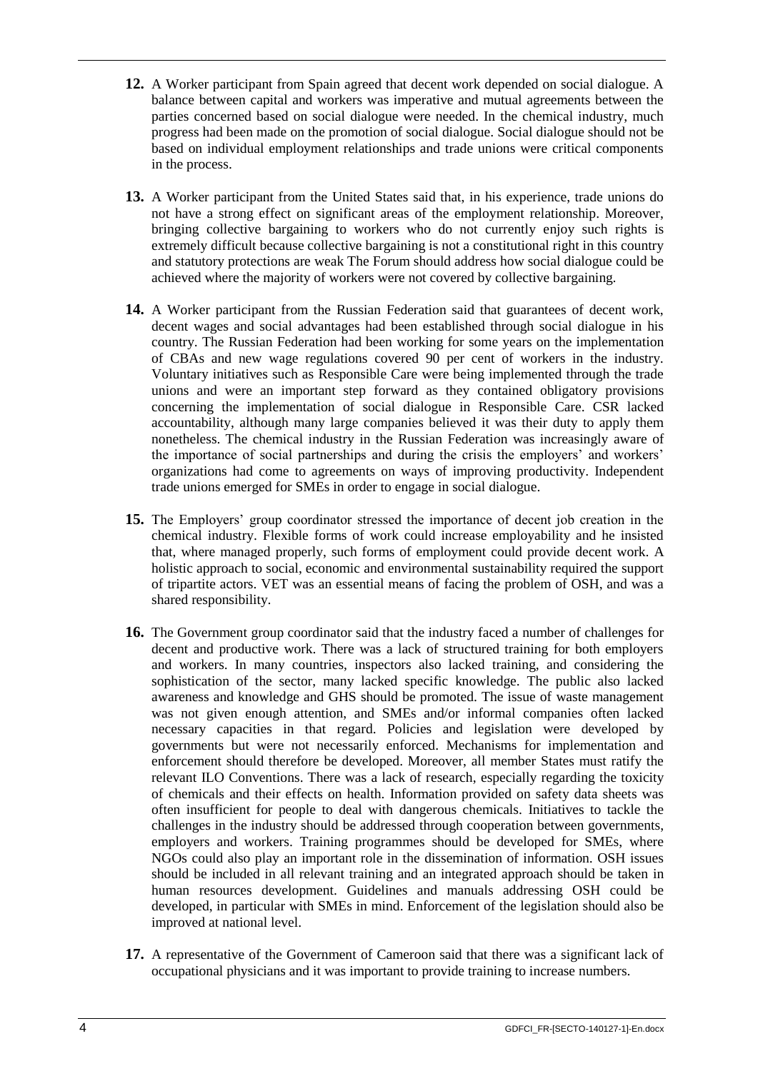- **12.** A Worker participant from Spain agreed that decent work depended on social dialogue. A balance between capital and workers was imperative and mutual agreements between the parties concerned based on social dialogue were needed. In the chemical industry, much progress had been made on the promotion of social dialogue. Social dialogue should not be based on individual employment relationships and trade unions were critical components in the process.
- **13.** A Worker participant from the United States said that, in his experience, trade unions do not have a strong effect on significant areas of the employment relationship. Moreover, bringing collective bargaining to workers who do not currently enjoy such rights is extremely difficult because collective bargaining is not a constitutional right in this country and statutory protections are weak The Forum should address how social dialogue could be achieved where the majority of workers were not covered by collective bargaining.
- **14.** A Worker participant from the Russian Federation said that guarantees of decent work, decent wages and social advantages had been established through social dialogue in his country. The Russian Federation had been working for some years on the implementation of CBAs and new wage regulations covered 90 per cent of workers in the industry. Voluntary initiatives such as Responsible Care were being implemented through the trade unions and were an important step forward as they contained obligatory provisions concerning the implementation of social dialogue in Responsible Care. CSR lacked accountability, although many large companies believed it was their duty to apply them nonetheless. The chemical industry in the Russian Federation was increasingly aware of the importance of social partnerships and during the crisis the employers' and workers' organizations had come to agreements on ways of improving productivity. Independent trade unions emerged for SMEs in order to engage in social dialogue.
- **15.** The Employers' group coordinator stressed the importance of decent job creation in the chemical industry. Flexible forms of work could increase employability and he insisted that, where managed properly, such forms of employment could provide decent work. A holistic approach to social, economic and environmental sustainability required the support of tripartite actors. VET was an essential means of facing the problem of OSH, and was a shared responsibility.
- **16.** The Government group coordinator said that the industry faced a number of challenges for decent and productive work. There was a lack of structured training for both employers and workers. In many countries, inspectors also lacked training, and considering the sophistication of the sector, many lacked specific knowledge. The public also lacked awareness and knowledge and GHS should be promoted. The issue of waste management was not given enough attention, and SMEs and/or informal companies often lacked necessary capacities in that regard. Policies and legislation were developed by governments but were not necessarily enforced. Mechanisms for implementation and enforcement should therefore be developed. Moreover, all member States must ratify the relevant ILO Conventions. There was a lack of research, especially regarding the toxicity of chemicals and their effects on health. Information provided on safety data sheets was often insufficient for people to deal with dangerous chemicals. Initiatives to tackle the challenges in the industry should be addressed through cooperation between governments, employers and workers. Training programmes should be developed for SMEs, where NGOs could also play an important role in the dissemination of information. OSH issues should be included in all relevant training and an integrated approach should be taken in human resources development. Guidelines and manuals addressing OSH could be developed, in particular with SMEs in mind. Enforcement of the legislation should also be improved at national level.
- **17.** A representative of the Government of Cameroon said that there was a significant lack of occupational physicians and it was important to provide training to increase numbers.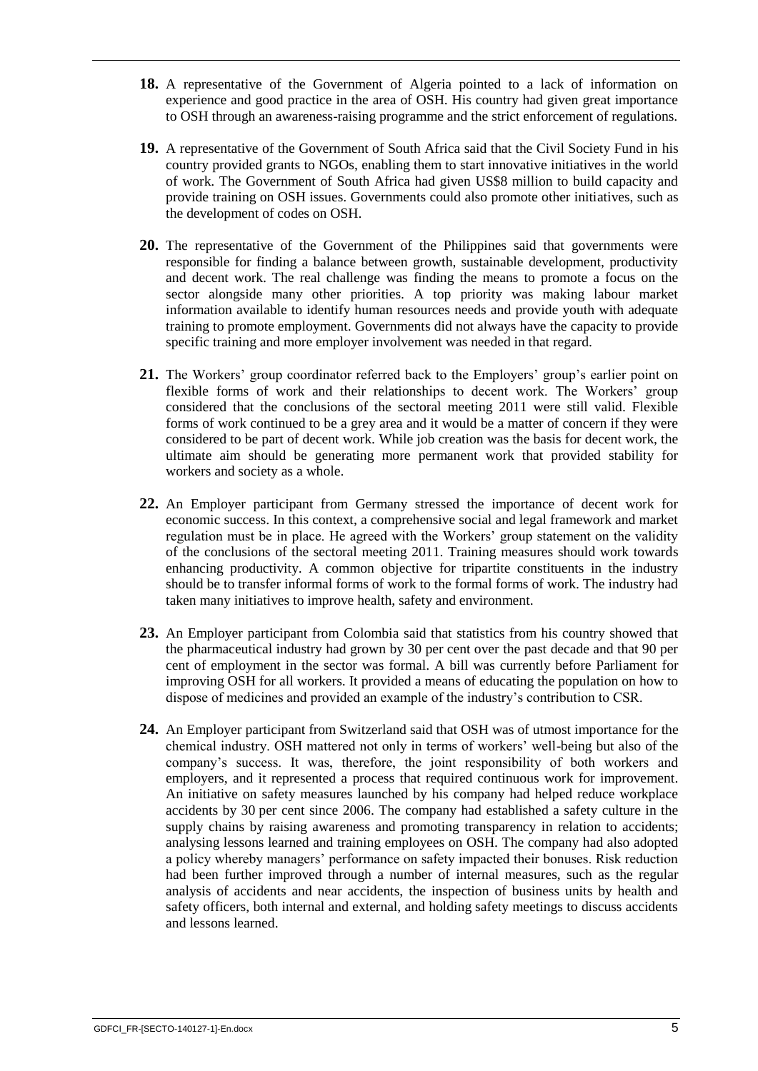- **18.** A representative of the Government of Algeria pointed to a lack of information on experience and good practice in the area of OSH. His country had given great importance to OSH through an awareness-raising programme and the strict enforcement of regulations.
- **19.** A representative of the Government of South Africa said that the Civil Society Fund in his country provided grants to NGOs, enabling them to start innovative initiatives in the world of work. The Government of South Africa had given US\$8 million to build capacity and provide training on OSH issues. Governments could also promote other initiatives, such as the development of codes on OSH.
- **20.** The representative of the Government of the Philippines said that governments were responsible for finding a balance between growth, sustainable development, productivity and decent work. The real challenge was finding the means to promote a focus on the sector alongside many other priorities. A top priority was making labour market information available to identify human resources needs and provide youth with adequate training to promote employment. Governments did not always have the capacity to provide specific training and more employer involvement was needed in that regard.
- **21.** The Workers' group coordinator referred back to the Employers' group's earlier point on flexible forms of work and their relationships to decent work. The Workers' group considered that the conclusions of the sectoral meeting 2011 were still valid. Flexible forms of work continued to be a grey area and it would be a matter of concern if they were considered to be part of decent work. While job creation was the basis for decent work, the ultimate aim should be generating more permanent work that provided stability for workers and society as a whole.
- **22.** An Employer participant from Germany stressed the importance of decent work for economic success. In this context, a comprehensive social and legal framework and market regulation must be in place. He agreed with the Workers' group statement on the validity of the conclusions of the sectoral meeting 2011. Training measures should work towards enhancing productivity. A common objective for tripartite constituents in the industry should be to transfer informal forms of work to the formal forms of work. The industry had taken many initiatives to improve health, safety and environment.
- **23.** An Employer participant from Colombia said that statistics from his country showed that the pharmaceutical industry had grown by 30 per cent over the past decade and that 90 per cent of employment in the sector was formal. A bill was currently before Parliament for improving OSH for all workers. It provided a means of educating the population on how to dispose of medicines and provided an example of the industry's contribution to CSR.
- **24.** An Employer participant from Switzerland said that OSH was of utmost importance for the chemical industry. OSH mattered not only in terms of workers' well-being but also of the company's success. It was, therefore, the joint responsibility of both workers and employers, and it represented a process that required continuous work for improvement. An initiative on safety measures launched by his company had helped reduce workplace accidents by 30 per cent since 2006. The company had established a safety culture in the supply chains by raising awareness and promoting transparency in relation to accidents; analysing lessons learned and training employees on OSH. The company had also adopted a policy whereby managers' performance on safety impacted their bonuses. Risk reduction had been further improved through a number of internal measures, such as the regular analysis of accidents and near accidents, the inspection of business units by health and safety officers, both internal and external, and holding safety meetings to discuss accidents and lessons learned.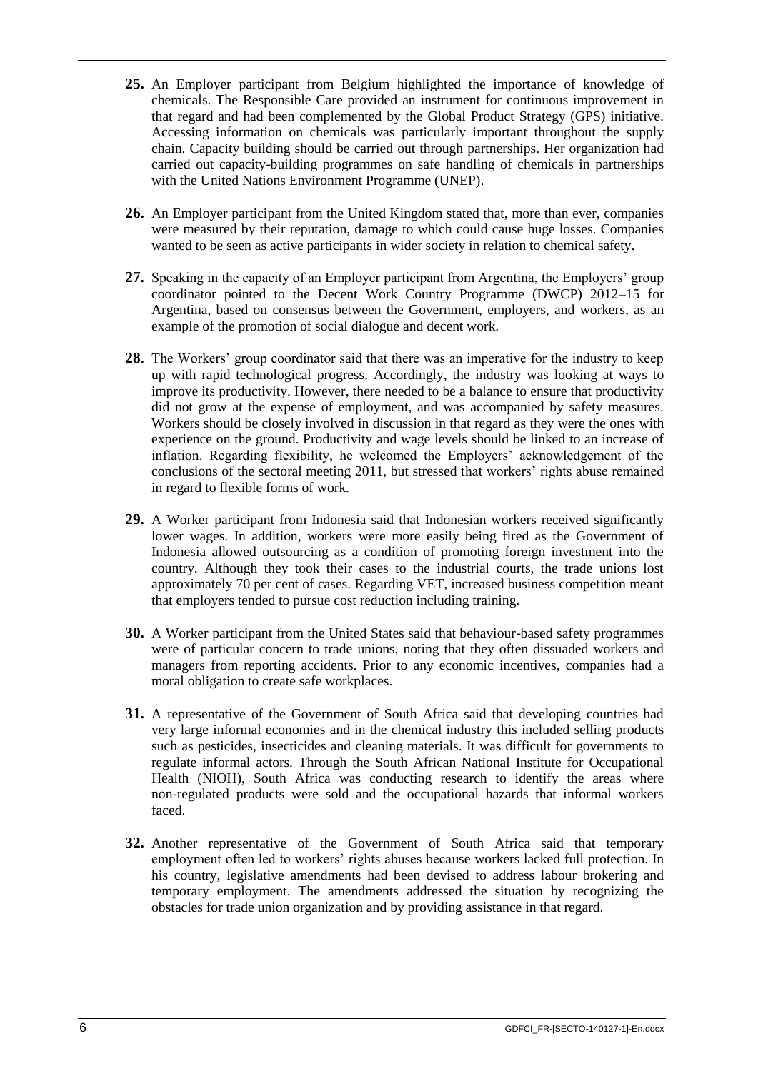- **25.** An Employer participant from Belgium highlighted the importance of knowledge of chemicals. The Responsible Care provided an instrument for continuous improvement in that regard and had been complemented by the Global Product Strategy (GPS) initiative. Accessing information on chemicals was particularly important throughout the supply chain. Capacity building should be carried out through partnerships. Her organization had carried out capacity-building programmes on safe handling of chemicals in partnerships with the United Nations Environment Programme (UNEP).
- **26.** An Employer participant from the United Kingdom stated that, more than ever, companies were measured by their reputation, damage to which could cause huge losses. Companies wanted to be seen as active participants in wider society in relation to chemical safety.
- **27.** Speaking in the capacity of an Employer participant from Argentina, the Employers' group coordinator pointed to the Decent Work Country Programme (DWCP) 2012–15 for Argentina, based on consensus between the Government, employers, and workers, as an example of the promotion of social dialogue and decent work.
- **28.** The Workers' group coordinator said that there was an imperative for the industry to keep up with rapid technological progress. Accordingly, the industry was looking at ways to improve its productivity. However, there needed to be a balance to ensure that productivity did not grow at the expense of employment, and was accompanied by safety measures. Workers should be closely involved in discussion in that regard as they were the ones with experience on the ground. Productivity and wage levels should be linked to an increase of inflation. Regarding flexibility, he welcomed the Employers' acknowledgement of the conclusions of the sectoral meeting 2011, but stressed that workers' rights abuse remained in regard to flexible forms of work.
- **29.** A Worker participant from Indonesia said that Indonesian workers received significantly lower wages. In addition, workers were more easily being fired as the Government of Indonesia allowed outsourcing as a condition of promoting foreign investment into the country. Although they took their cases to the industrial courts, the trade unions lost approximately 70 per cent of cases. Regarding VET, increased business competition meant that employers tended to pursue cost reduction including training.
- **30.** A Worker participant from the United States said that behaviour-based safety programmes were of particular concern to trade unions, noting that they often dissuaded workers and managers from reporting accidents. Prior to any economic incentives, companies had a moral obligation to create safe workplaces.
- **31.** A representative of the Government of South Africa said that developing countries had very large informal economies and in the chemical industry this included selling products such as pesticides, insecticides and cleaning materials. It was difficult for governments to regulate informal actors. Through the South African National Institute for Occupational Health (NIOH), South Africa was conducting research to identify the areas where non-regulated products were sold and the occupational hazards that informal workers faced.
- **32.** Another representative of the Government of South Africa said that temporary employment often led to workers' rights abuses because workers lacked full protection. In his country, legislative amendments had been devised to address labour brokering and temporary employment. The amendments addressed the situation by recognizing the obstacles for trade union organization and by providing assistance in that regard.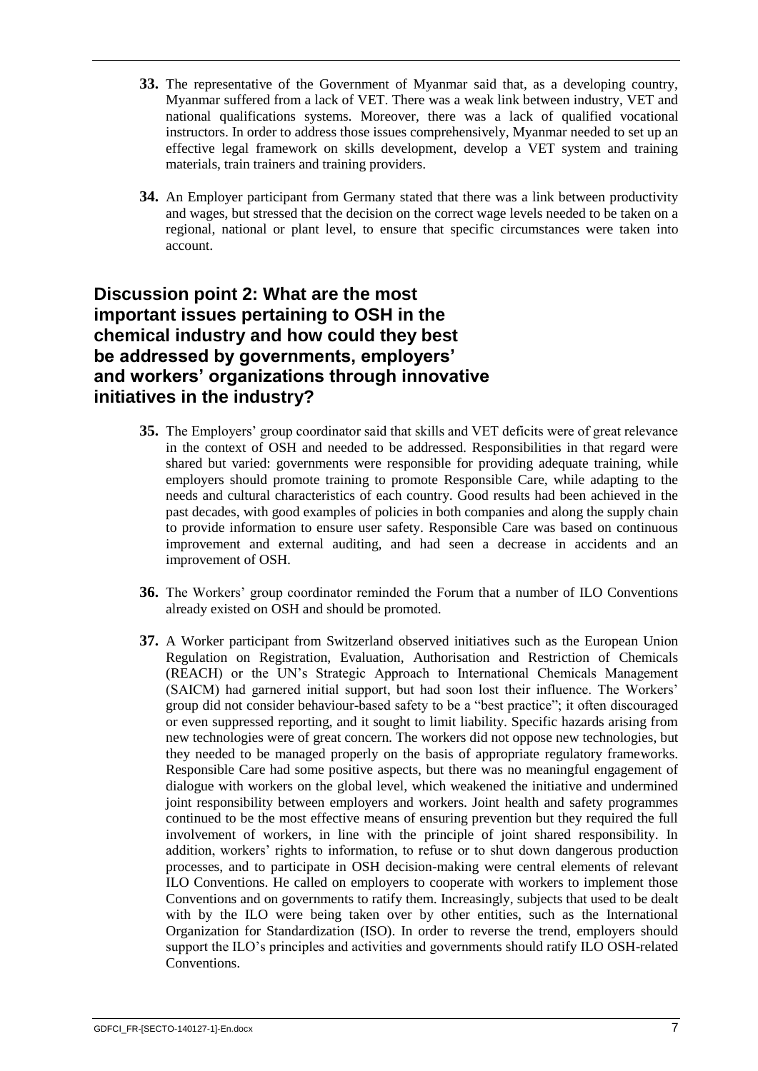- **33.** The representative of the Government of Myanmar said that, as a developing country, Myanmar suffered from a lack of VET. There was a weak link between industry, VET and national qualifications systems. Moreover, there was a lack of qualified vocational instructors. In order to address those issues comprehensively, Myanmar needed to set up an effective legal framework on skills development, develop a VET system and training materials, train trainers and training providers.
- **34.** An Employer participant from Germany stated that there was a link between productivity and wages, but stressed that the decision on the correct wage levels needed to be taken on a regional, national or plant level, to ensure that specific circumstances were taken into account.

# <span id="page-13-0"></span>**Discussion point 2: What are the most important issues pertaining to OSH in the chemical industry and how could they best be addressed by governments, employers' and workers' organizations through innovative initiatives in the industry?**

- **35.** The Employers' group coordinator said that skills and VET deficits were of great relevance in the context of OSH and needed to be addressed. Responsibilities in that regard were shared but varied: governments were responsible for providing adequate training, while employers should promote training to promote Responsible Care, while adapting to the needs and cultural characteristics of each country. Good results had been achieved in the past decades, with good examples of policies in both companies and along the supply chain to provide information to ensure user safety. Responsible Care was based on continuous improvement and external auditing, and had seen a decrease in accidents and an improvement of OSH.
- **36.** The Workers' group coordinator reminded the Forum that a number of ILO Conventions already existed on OSH and should be promoted.
- **37.** A Worker participant from Switzerland observed initiatives such as the European Union Regulation on Registration, Evaluation, Authorisation and Restriction of Chemicals (REACH) or the UN's Strategic Approach to International Chemicals Management (SAICM) had garnered initial support, but had soon lost their influence. The Workers' group did not consider behaviour-based safety to be a "best practice"; it often discouraged or even suppressed reporting, and it sought to limit liability. Specific hazards arising from new technologies were of great concern. The workers did not oppose new technologies, but they needed to be managed properly on the basis of appropriate regulatory frameworks. Responsible Care had some positive aspects, but there was no meaningful engagement of dialogue with workers on the global level, which weakened the initiative and undermined joint responsibility between employers and workers. Joint health and safety programmes continued to be the most effective means of ensuring prevention but they required the full involvement of workers, in line with the principle of joint shared responsibility. In addition, workers' rights to information, to refuse or to shut down dangerous production processes, and to participate in OSH decision-making were central elements of relevant ILO Conventions. He called on employers to cooperate with workers to implement those Conventions and on governments to ratify them. Increasingly, subjects that used to be dealt with by the ILO were being taken over by other entities, such as the International Organization for Standardization (ISO). In order to reverse the trend, employers should support the ILO's principles and activities and governments should ratify ILO OSH-related Conventions.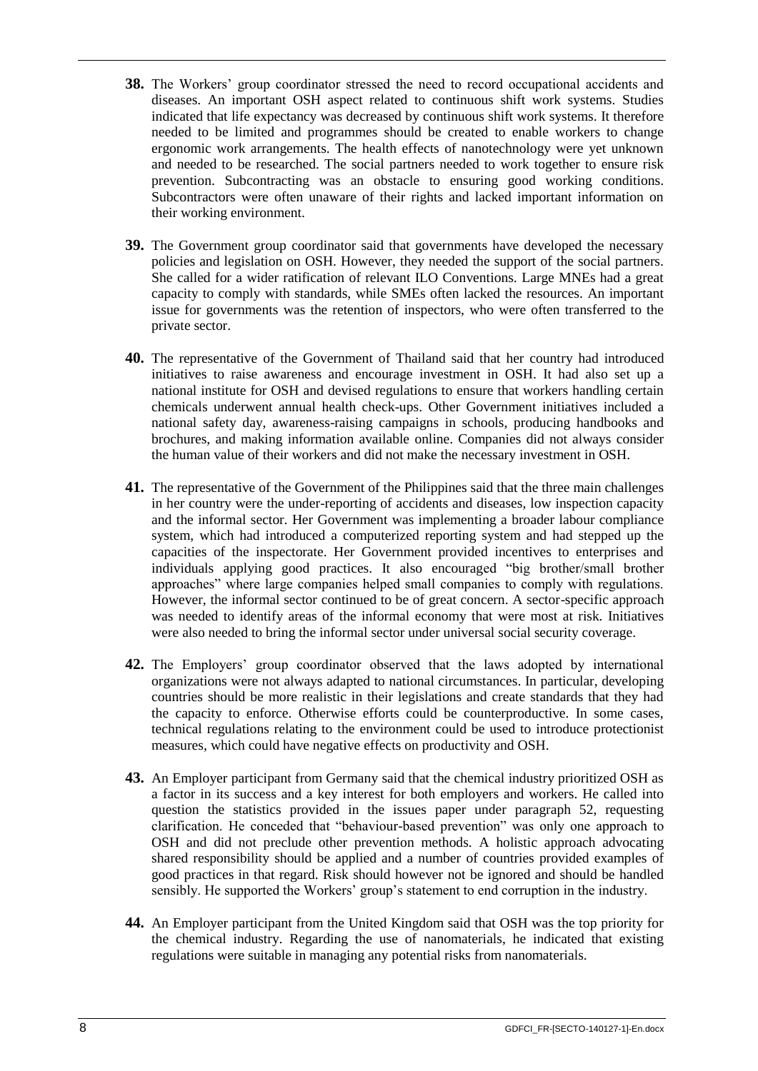- **38.** The Workers' group coordinator stressed the need to record occupational accidents and diseases. An important OSH aspect related to continuous shift work systems. Studies indicated that life expectancy was decreased by continuous shift work systems. It therefore needed to be limited and programmes should be created to enable workers to change ergonomic work arrangements. The health effects of nanotechnology were yet unknown and needed to be researched. The social partners needed to work together to ensure risk prevention. Subcontracting was an obstacle to ensuring good working conditions. Subcontractors were often unaware of their rights and lacked important information on their working environment.
- **39.** The Government group coordinator said that governments have developed the necessary policies and legislation on OSH. However, they needed the support of the social partners. She called for a wider ratification of relevant ILO Conventions. Large MNEs had a great capacity to comply with standards, while SMEs often lacked the resources. An important issue for governments was the retention of inspectors, who were often transferred to the private sector.
- **40.** The representative of the Government of Thailand said that her country had introduced initiatives to raise awareness and encourage investment in OSH. It had also set up a national institute for OSH and devised regulations to ensure that workers handling certain chemicals underwent annual health check-ups. Other Government initiatives included a national safety day, awareness-raising campaigns in schools, producing handbooks and brochures, and making information available online. Companies did not always consider the human value of their workers and did not make the necessary investment in OSH.
- **41.** The representative of the Government of the Philippines said that the three main challenges in her country were the under-reporting of accidents and diseases, low inspection capacity and the informal sector. Her Government was implementing a broader labour compliance system, which had introduced a computerized reporting system and had stepped up the capacities of the inspectorate. Her Government provided incentives to enterprises and individuals applying good practices. It also encouraged "big brother/small brother approaches" where large companies helped small companies to comply with regulations. However, the informal sector continued to be of great concern. A sector-specific approach was needed to identify areas of the informal economy that were most at risk. Initiatives were also needed to bring the informal sector under universal social security coverage.
- **42.** The Employers' group coordinator observed that the laws adopted by international organizations were not always adapted to national circumstances. In particular, developing countries should be more realistic in their legislations and create standards that they had the capacity to enforce. Otherwise efforts could be counterproductive. In some cases, technical regulations relating to the environment could be used to introduce protectionist measures, which could have negative effects on productivity and OSH.
- **43.** An Employer participant from Germany said that the chemical industry prioritized OSH as a factor in its success and a key interest for both employers and workers. He called into question the statistics provided in the issues paper under paragraph 52, requesting clarification. He conceded that "behaviour-based prevention" was only one approach to OSH and did not preclude other prevention methods. A holistic approach advocating shared responsibility should be applied and a number of countries provided examples of good practices in that regard. Risk should however not be ignored and should be handled sensibly. He supported the Workers' group's statement to end corruption in the industry.
- **44.** An Employer participant from the United Kingdom said that OSH was the top priority for the chemical industry. Regarding the use of nanomaterials, he indicated that existing regulations were suitable in managing any potential risks from nanomaterials.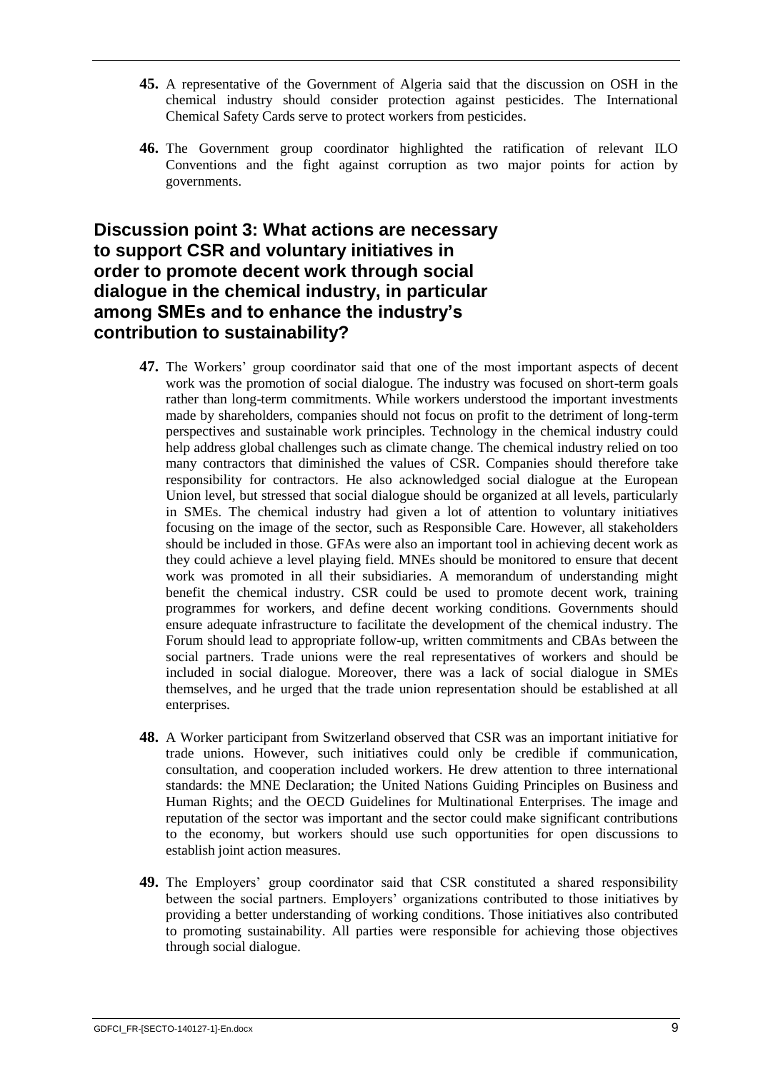- **45.** A representative of the Government of Algeria said that the discussion on OSH in the chemical industry should consider protection against pesticides. The International Chemical Safety Cards serve to protect workers from pesticides.
- **46.** The Government group coordinator highlighted the ratification of relevant ILO Conventions and the fight against corruption as two major points for action by governments.

# <span id="page-15-0"></span>**Discussion point 3: What actions are necessary to support CSR and voluntary initiatives in order to promote decent work through social dialogue in the chemical industry, in particular among SMEs and to enhance the industry's contribution to sustainability?**

- **47.** The Workers' group coordinator said that one of the most important aspects of decent work was the promotion of social dialogue. The industry was focused on short-term goals rather than long-term commitments. While workers understood the important investments made by shareholders, companies should not focus on profit to the detriment of long-term perspectives and sustainable work principles. Technology in the chemical industry could help address global challenges such as climate change. The chemical industry relied on too many contractors that diminished the values of CSR. Companies should therefore take responsibility for contractors. He also acknowledged social dialogue at the European Union level, but stressed that social dialogue should be organized at all levels, particularly in SMEs. The chemical industry had given a lot of attention to voluntary initiatives focusing on the image of the sector, such as Responsible Care. However, all stakeholders should be included in those. GFAs were also an important tool in achieving decent work as they could achieve a level playing field. MNEs should be monitored to ensure that decent work was promoted in all their subsidiaries. A memorandum of understanding might benefit the chemical industry. CSR could be used to promote decent work, training programmes for workers, and define decent working conditions. Governments should ensure adequate infrastructure to facilitate the development of the chemical industry. The Forum should lead to appropriate follow-up, written commitments and CBAs between the social partners. Trade unions were the real representatives of workers and should be included in social dialogue. Moreover, there was a lack of social dialogue in SMEs themselves, and he urged that the trade union representation should be established at all enterprises.
- **48.** A Worker participant from Switzerland observed that CSR was an important initiative for trade unions. However, such initiatives could only be credible if communication, consultation, and cooperation included workers. He drew attention to three international standards: the MNE Declaration; the United Nations Guiding Principles on Business and Human Rights; and the OECD Guidelines for Multinational Enterprises. The image and reputation of the sector was important and the sector could make significant contributions to the economy, but workers should use such opportunities for open discussions to establish joint action measures.
- **49.** The Employers' group coordinator said that CSR constituted a shared responsibility between the social partners. Employers' organizations contributed to those initiatives by providing a better understanding of working conditions. Those initiatives also contributed to promoting sustainability. All parties were responsible for achieving those objectives through social dialogue.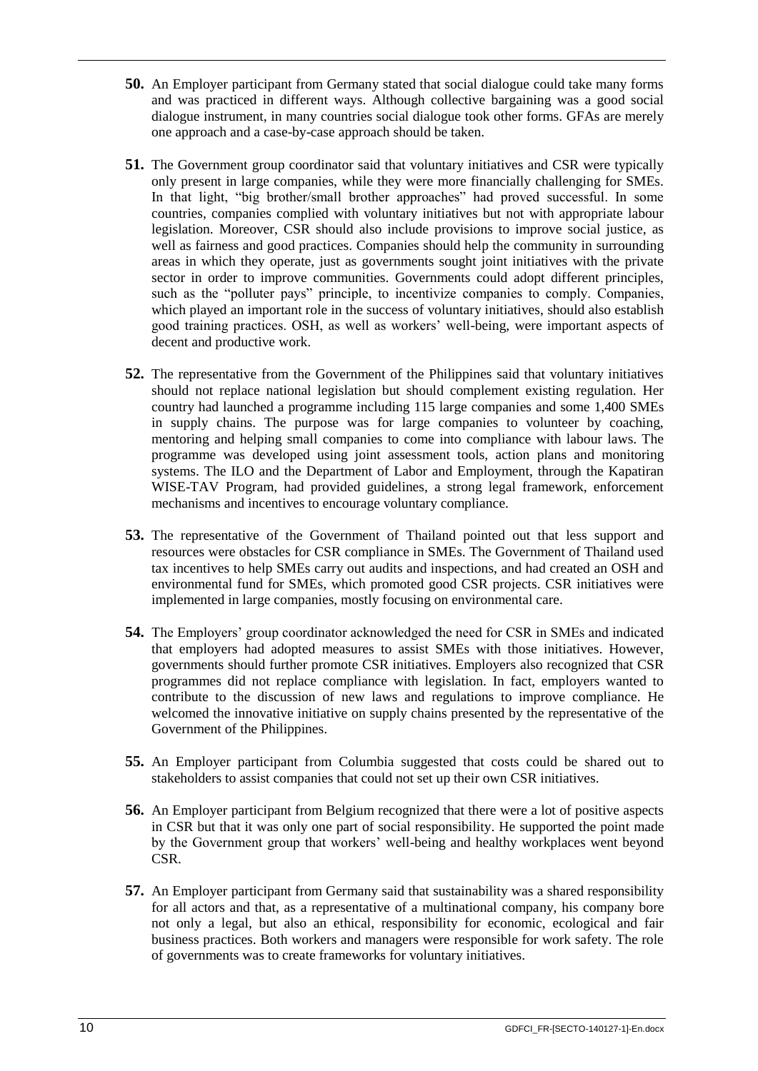- **50.** An Employer participant from Germany stated that social dialogue could take many forms and was practiced in different ways. Although collective bargaining was a good social dialogue instrument, in many countries social dialogue took other forms. GFAs are merely one approach and a case-by-case approach should be taken.
- **51.** The Government group coordinator said that voluntary initiatives and CSR were typically only present in large companies, while they were more financially challenging for SMEs. In that light, "big brother/small brother approaches" had proved successful. In some countries, companies complied with voluntary initiatives but not with appropriate labour legislation. Moreover, CSR should also include provisions to improve social justice, as well as fairness and good practices. Companies should help the community in surrounding areas in which they operate, just as governments sought joint initiatives with the private sector in order to improve communities. Governments could adopt different principles, such as the "polluter pays" principle, to incentivize companies to comply. Companies, which played an important role in the success of voluntary initiatives, should also establish good training practices. OSH, as well as workers' well-being, were important aspects of decent and productive work.
- **52.** The representative from the Government of the Philippines said that voluntary initiatives should not replace national legislation but should complement existing regulation. Her country had launched a programme including 115 large companies and some 1,400 SMEs in supply chains. The purpose was for large companies to volunteer by coaching, mentoring and helping small companies to come into compliance with labour laws. The programme was developed using joint assessment tools, action plans and monitoring systems. The ILO and the Department of Labor and Employment, through the Kapatiran WISE-TAV Program, had provided guidelines, a strong legal framework, enforcement mechanisms and incentives to encourage voluntary compliance.
- **53.** The representative of the Government of Thailand pointed out that less support and resources were obstacles for CSR compliance in SMEs. The Government of Thailand used tax incentives to help SMEs carry out audits and inspections, and had created an OSH and environmental fund for SMEs, which promoted good CSR projects. CSR initiatives were implemented in large companies, mostly focusing on environmental care.
- **54.** The Employers' group coordinator acknowledged the need for CSR in SMEs and indicated that employers had adopted measures to assist SMEs with those initiatives. However, governments should further promote CSR initiatives. Employers also recognized that CSR programmes did not replace compliance with legislation. In fact, employers wanted to contribute to the discussion of new laws and regulations to improve compliance. He welcomed the innovative initiative on supply chains presented by the representative of the Government of the Philippines.
- **55.** An Employer participant from Columbia suggested that costs could be shared out to stakeholders to assist companies that could not set up their own CSR initiatives.
- **56.** An Employer participant from Belgium recognized that there were a lot of positive aspects in CSR but that it was only one part of social responsibility. He supported the point made by the Government group that workers' well-being and healthy workplaces went beyond CSR.
- **57.** An Employer participant from Germany said that sustainability was a shared responsibility for all actors and that, as a representative of a multinational company, his company bore not only a legal, but also an ethical, responsibility for economic, ecological and fair business practices. Both workers and managers were responsible for work safety. The role of governments was to create frameworks for voluntary initiatives.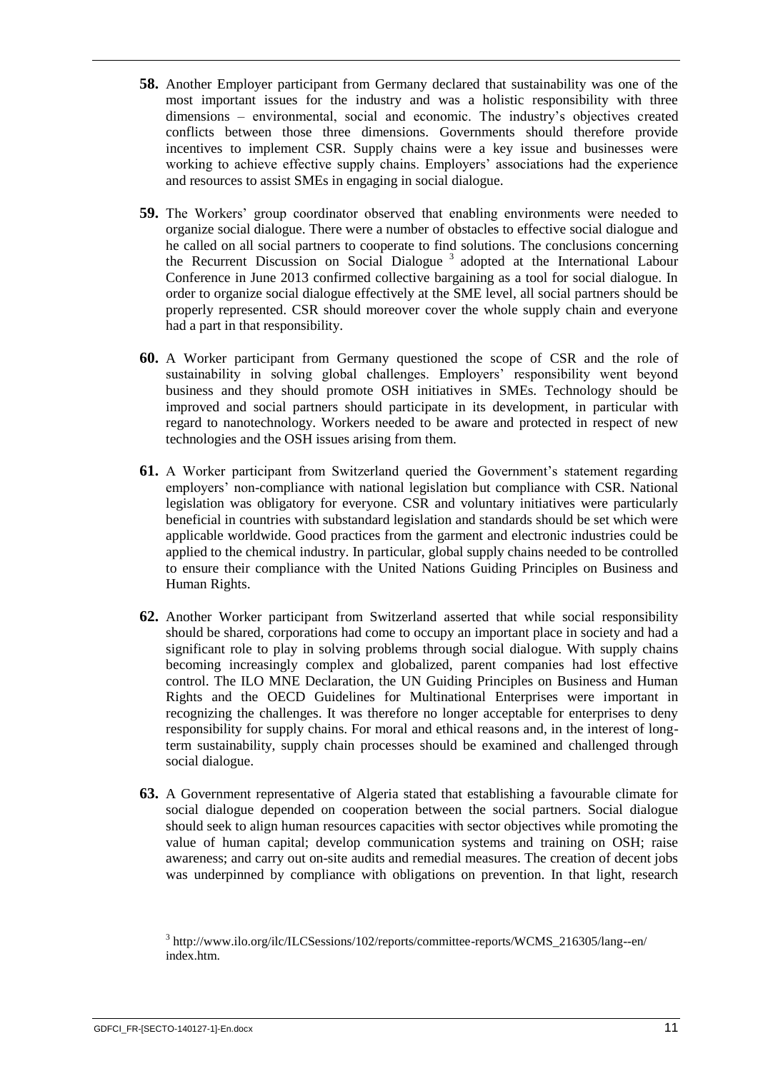- **58.** Another Employer participant from Germany declared that sustainability was one of the most important issues for the industry and was a holistic responsibility with three dimensions – environmental, social and economic. The industry's objectives created conflicts between those three dimensions. Governments should therefore provide incentives to implement CSR. Supply chains were a key issue and businesses were working to achieve effective supply chains. Employers' associations had the experience and resources to assist SMEs in engaging in social dialogue.
- **59.** The Workers' group coordinator observed that enabling environments were needed to organize social dialogue. There were a number of obstacles to effective social dialogue and he called on all social partners to cooperate to find solutions. The conclusions concerning the Recurrent Discussion on Social Dialogue<sup>3</sup> adopted at the International Labour Conference in June 2013 confirmed collective bargaining as a tool for social dialogue. In order to organize social dialogue effectively at the SME level, all social partners should be properly represented. CSR should moreover cover the whole supply chain and everyone had a part in that responsibility.
- **60.** A Worker participant from Germany questioned the scope of CSR and the role of sustainability in solving global challenges. Employers' responsibility went beyond business and they should promote OSH initiatives in SMEs. Technology should be improved and social partners should participate in its development, in particular with regard to nanotechnology. Workers needed to be aware and protected in respect of new technologies and the OSH issues arising from them.
- **61.** A Worker participant from Switzerland queried the Government's statement regarding employers' non-compliance with national legislation but compliance with CSR. National legislation was obligatory for everyone. CSR and voluntary initiatives were particularly beneficial in countries with substandard legislation and standards should be set which were applicable worldwide. Good practices from the garment and electronic industries could be applied to the chemical industry. In particular, global supply chains needed to be controlled to ensure their compliance with the United Nations Guiding Principles on Business and Human Rights.
- **62.** Another Worker participant from Switzerland asserted that while social responsibility should be shared, corporations had come to occupy an important place in society and had a significant role to play in solving problems through social dialogue. With supply chains becoming increasingly complex and globalized, parent companies had lost effective control. The ILO MNE Declaration, the UN Guiding Principles on Business and Human Rights and the OECD Guidelines for Multinational Enterprises were important in recognizing the challenges. It was therefore no longer acceptable for enterprises to deny responsibility for supply chains. For moral and ethical reasons and, in the interest of longterm sustainability, supply chain processes should be examined and challenged through social dialogue.
- **63.** A Government representative of Algeria stated that establishing a favourable climate for social dialogue depended on cooperation between the social partners. Social dialogue should seek to align human resources capacities with sector objectives while promoting the value of human capital; develop communication systems and training on OSH; raise awareness; and carry out on-site audits and remedial measures. The creation of decent jobs was underpinned by compliance with obligations on prevention. In that light, research

<sup>&</sup>lt;sup>3</sup> http://www.ilo.org/ilc/ILCSessions/102/reports/committee-reports/WCMS\_216305/lang--en/ index.htm.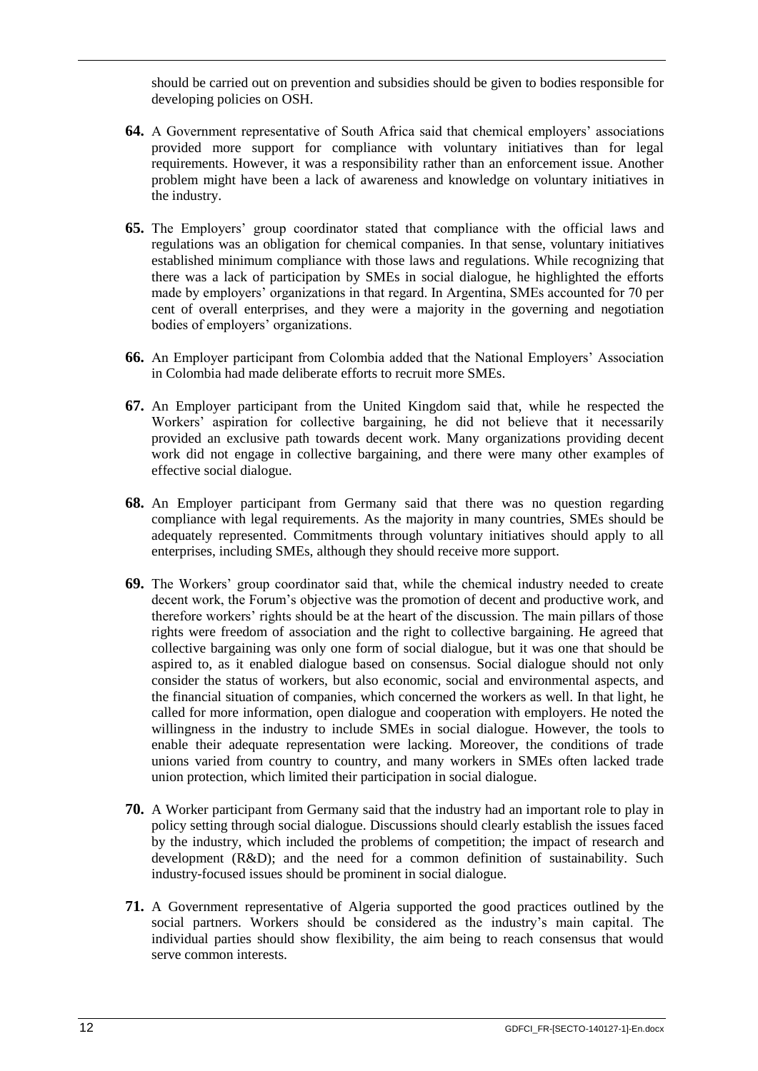should be carried out on prevention and subsidies should be given to bodies responsible for developing policies on OSH.

- **64.** A Government representative of South Africa said that chemical employers' associations provided more support for compliance with voluntary initiatives than for legal requirements. However, it was a responsibility rather than an enforcement issue. Another problem might have been a lack of awareness and knowledge on voluntary initiatives in the industry.
- **65.** The Employers' group coordinator stated that compliance with the official laws and regulations was an obligation for chemical companies. In that sense, voluntary initiatives established minimum compliance with those laws and regulations. While recognizing that there was a lack of participation by SMEs in social dialogue, he highlighted the efforts made by employers' organizations in that regard. In Argentina, SMEs accounted for 70 per cent of overall enterprises, and they were a majority in the governing and negotiation bodies of employers' organizations.
- **66.** An Employer participant from Colombia added that the National Employers' Association in Colombia had made deliberate efforts to recruit more SMEs.
- **67.** An Employer participant from the United Kingdom said that, while he respected the Workers' aspiration for collective bargaining, he did not believe that it necessarily provided an exclusive path towards decent work. Many organizations providing decent work did not engage in collective bargaining, and there were many other examples of effective social dialogue.
- **68.** An Employer participant from Germany said that there was no question regarding compliance with legal requirements. As the majority in many countries, SMEs should be adequately represented. Commitments through voluntary initiatives should apply to all enterprises, including SMEs, although they should receive more support.
- **69.** The Workers' group coordinator said that, while the chemical industry needed to create decent work, the Forum's objective was the promotion of decent and productive work, and therefore workers' rights should be at the heart of the discussion. The main pillars of those rights were freedom of association and the right to collective bargaining. He agreed that collective bargaining was only one form of social dialogue, but it was one that should be aspired to, as it enabled dialogue based on consensus. Social dialogue should not only consider the status of workers, but also economic, social and environmental aspects, and the financial situation of companies, which concerned the workers as well. In that light, he called for more information, open dialogue and cooperation with employers. He noted the willingness in the industry to include SMEs in social dialogue. However, the tools to enable their adequate representation were lacking. Moreover, the conditions of trade unions varied from country to country, and many workers in SMEs often lacked trade union protection, which limited their participation in social dialogue.
- **70.** A Worker participant from Germany said that the industry had an important role to play in policy setting through social dialogue. Discussions should clearly establish the issues faced by the industry, which included the problems of competition; the impact of research and development (R&D); and the need for a common definition of sustainability. Such industry-focused issues should be prominent in social dialogue.
- **71.** A Government representative of Algeria supported the good practices outlined by the social partners. Workers should be considered as the industry's main capital. The individual parties should show flexibility, the aim being to reach consensus that would serve common interests.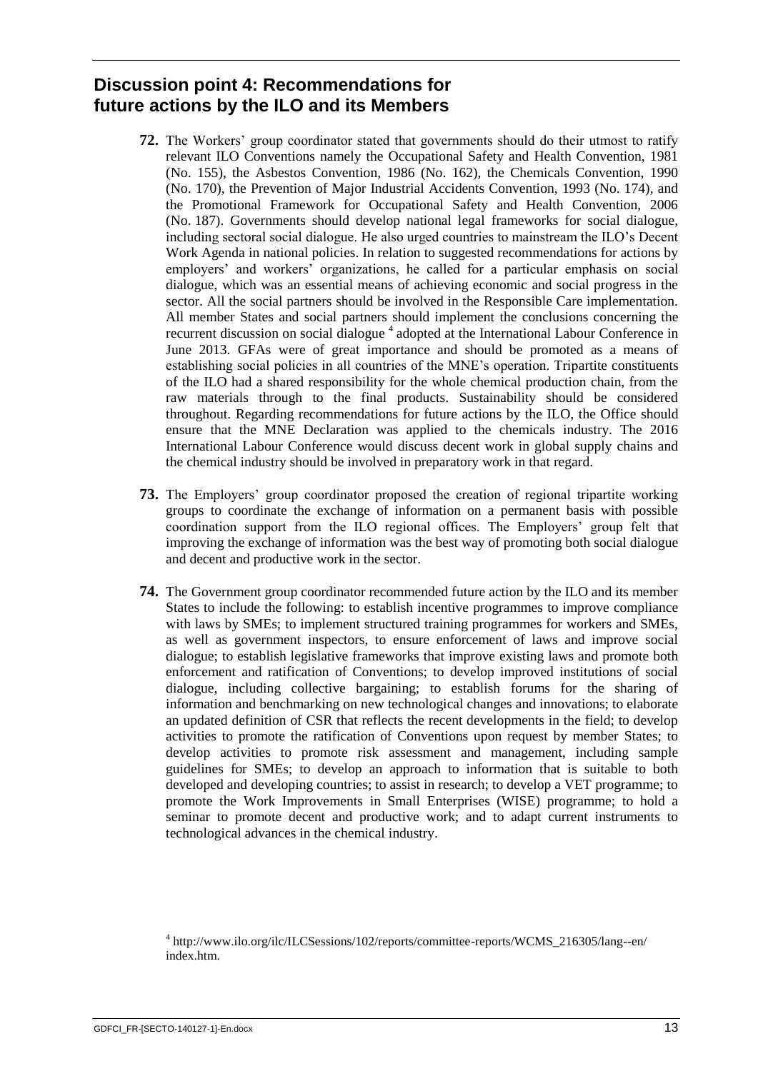# <span id="page-19-0"></span>**Discussion point 4: Recommendations for future actions by the ILO and its Members**

- **72.** The Workers' group coordinator stated that governments should do their utmost to ratify relevant ILO Conventions namely the Occupational Safety and Health Convention, 1981 (No. 155), the Asbestos Convention, 1986 (No. 162), the Chemicals Convention, 1990 (No. 170), the Prevention of Major Industrial Accidents Convention, 1993 (No. 174), and the Promotional Framework for Occupational Safety and Health Convention, 2006 (No. 187). Governments should develop national legal frameworks for social dialogue, including sectoral social dialogue. He also urged countries to mainstream the ILO's Decent Work Agenda in national policies. In relation to suggested recommendations for actions by employers' and workers' organizations, he called for a particular emphasis on social dialogue, which was an essential means of achieving economic and social progress in the sector. All the social partners should be involved in the Responsible Care implementation. All member States and social partners should implement the conclusions concerning the recurrent discussion on social dialogue<sup>4</sup> adopted at the International Labour Conference in June 2013. GFAs were of great importance and should be promoted as a means of establishing social policies in all countries of the MNE's operation. Tripartite constituents of the ILO had a shared responsibility for the whole chemical production chain, from the raw materials through to the final products. Sustainability should be considered throughout. Regarding recommendations for future actions by the ILO, the Office should ensure that the MNE Declaration was applied to the chemicals industry. The 2016 International Labour Conference would discuss decent work in global supply chains and the chemical industry should be involved in preparatory work in that regard.
- **73.** The Employers' group coordinator proposed the creation of regional tripartite working groups to coordinate the exchange of information on a permanent basis with possible coordination support from the ILO regional offices. The Employers' group felt that improving the exchange of information was the best way of promoting both social dialogue and decent and productive work in the sector.
- **74.** The Government group coordinator recommended future action by the ILO and its member States to include the following: to establish incentive programmes to improve compliance with laws by SMEs; to implement structured training programmes for workers and SMEs, as well as government inspectors, to ensure enforcement of laws and improve social dialogue; to establish legislative frameworks that improve existing laws and promote both enforcement and ratification of Conventions; to develop improved institutions of social dialogue, including collective bargaining; to establish forums for the sharing of information and benchmarking on new technological changes and innovations; to elaborate an updated definition of CSR that reflects the recent developments in the field; to develop activities to promote the ratification of Conventions upon request by member States; to develop activities to promote risk assessment and management, including sample guidelines for SMEs; to develop an approach to information that is suitable to both developed and developing countries; to assist in research; to develop a VET programme; to promote the Work Improvements in Small Enterprises (WISE) programme; to hold a seminar to promote decent and productive work; and to adapt current instruments to technological advances in the chemical industry.

<sup>4</sup> http://www.ilo.org/ilc/ILCSessions/102/reports/committee-reports/WCMS\_216305/lang--en/ index.htm.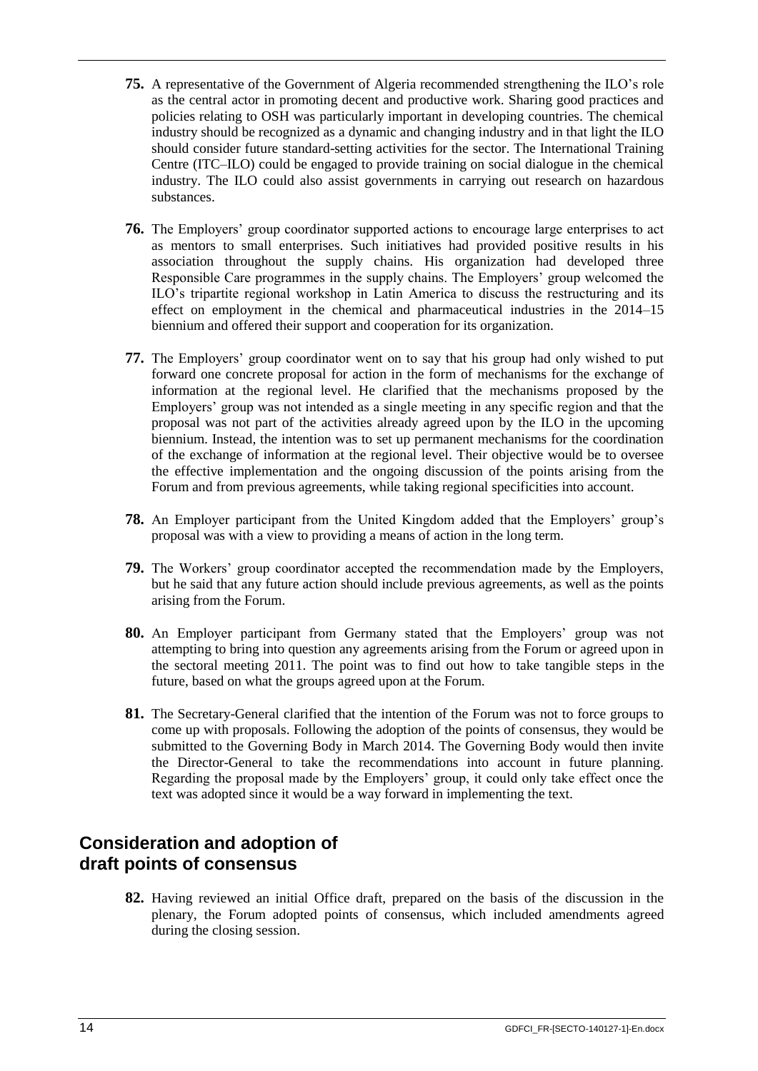- **75.** A representative of the Government of Algeria recommended strengthening the ILO's role as the central actor in promoting decent and productive work. Sharing good practices and policies relating to OSH was particularly important in developing countries. The chemical industry should be recognized as a dynamic and changing industry and in that light the ILO should consider future standard-setting activities for the sector. The International Training Centre (ITC–ILO) could be engaged to provide training on social dialogue in the chemical industry. The ILO could also assist governments in carrying out research on hazardous substances.
- **76.** The Employers' group coordinator supported actions to encourage large enterprises to act as mentors to small enterprises. Such initiatives had provided positive results in his association throughout the supply chains. His organization had developed three Responsible Care programmes in the supply chains. The Employers' group welcomed the ILO's tripartite regional workshop in Latin America to discuss the restructuring and its effect on employment in the chemical and pharmaceutical industries in the 2014–15 biennium and offered their support and cooperation for its organization.
- **77.** The Employers' group coordinator went on to say that his group had only wished to put forward one concrete proposal for action in the form of mechanisms for the exchange of information at the regional level. He clarified that the mechanisms proposed by the Employers' group was not intended as a single meeting in any specific region and that the proposal was not part of the activities already agreed upon by the ILO in the upcoming biennium. Instead, the intention was to set up permanent mechanisms for the coordination of the exchange of information at the regional level. Their objective would be to oversee the effective implementation and the ongoing discussion of the points arising from the Forum and from previous agreements, while taking regional specificities into account.
- **78.** An Employer participant from the United Kingdom added that the Employers' group's proposal was with a view to providing a means of action in the long term.
- **79.** The Workers' group coordinator accepted the recommendation made by the Employers, but he said that any future action should include previous agreements, as well as the points arising from the Forum.
- **80.** An Employer participant from Germany stated that the Employers' group was not attempting to bring into question any agreements arising from the Forum or agreed upon in the sectoral meeting 2011. The point was to find out how to take tangible steps in the future, based on what the groups agreed upon at the Forum.
- **81.** The Secretary-General clarified that the intention of the Forum was not to force groups to come up with proposals. Following the adoption of the points of consensus, they would be submitted to the Governing Body in March 2014. The Governing Body would then invite the Director-General to take the recommendations into account in future planning. Regarding the proposal made by the Employers' group, it could only take effect once the text was adopted since it would be a way forward in implementing the text.

# <span id="page-20-0"></span>**Consideration and adoption of draft points of consensus**

**82.** Having reviewed an initial Office draft, prepared on the basis of the discussion in the plenary, the Forum adopted points of consensus, which included amendments agreed during the closing session.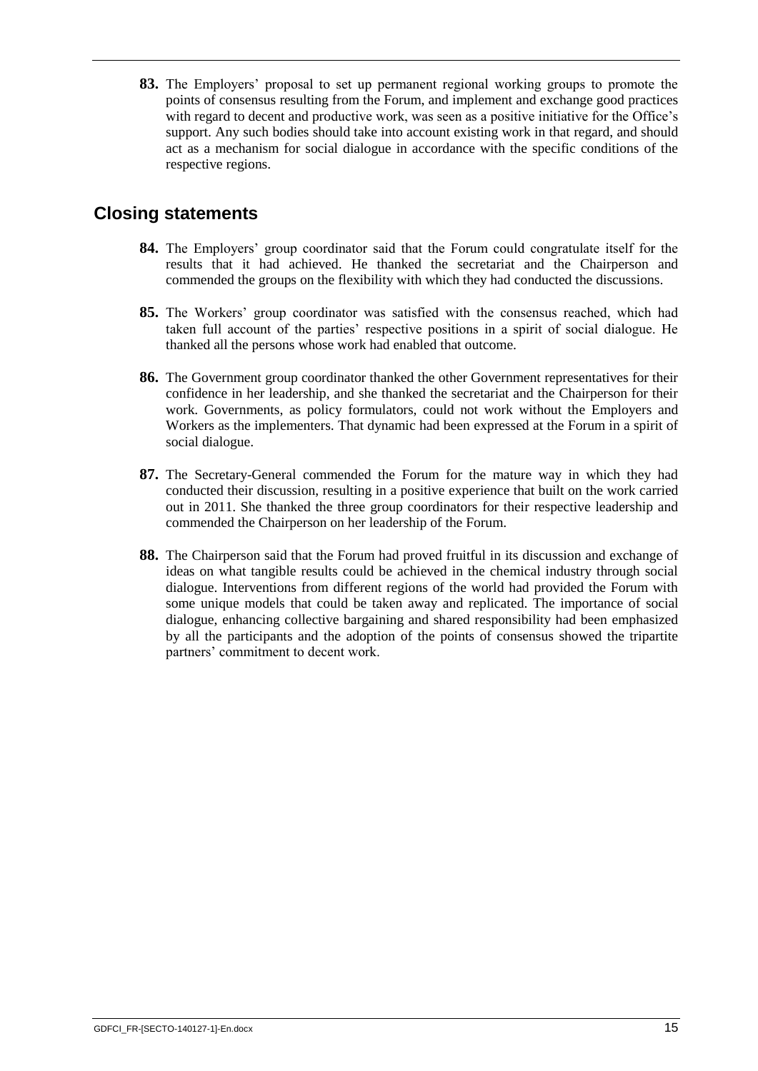**83.** The Employers' proposal to set up permanent regional working groups to promote the points of consensus resulting from the Forum, and implement and exchange good practices with regard to decent and productive work, was seen as a positive initiative for the Office's support. Any such bodies should take into account existing work in that regard, and should act as a mechanism for social dialogue in accordance with the specific conditions of the respective regions.

# <span id="page-21-0"></span>**Closing statements**

- **84.** The Employers' group coordinator said that the Forum could congratulate itself for the results that it had achieved. He thanked the secretariat and the Chairperson and commended the groups on the flexibility with which they had conducted the discussions.
- **85.** The Workers' group coordinator was satisfied with the consensus reached, which had taken full account of the parties' respective positions in a spirit of social dialogue. He thanked all the persons whose work had enabled that outcome.
- **86.** The Government group coordinator thanked the other Government representatives for their confidence in her leadership, and she thanked the secretariat and the Chairperson for their work. Governments, as policy formulators, could not work without the Employers and Workers as the implementers. That dynamic had been expressed at the Forum in a spirit of social dialogue.
- **87.** The Secretary-General commended the Forum for the mature way in which they had conducted their discussion, resulting in a positive experience that built on the work carried out in 2011. She thanked the three group coordinators for their respective leadership and commended the Chairperson on her leadership of the Forum.
- **88.** The Chairperson said that the Forum had proved fruitful in its discussion and exchange of ideas on what tangible results could be achieved in the chemical industry through social dialogue. Interventions from different regions of the world had provided the Forum with some unique models that could be taken away and replicated. The importance of social dialogue, enhancing collective bargaining and shared responsibility had been emphasized by all the participants and the adoption of the points of consensus showed the tripartite partners' commitment to decent work.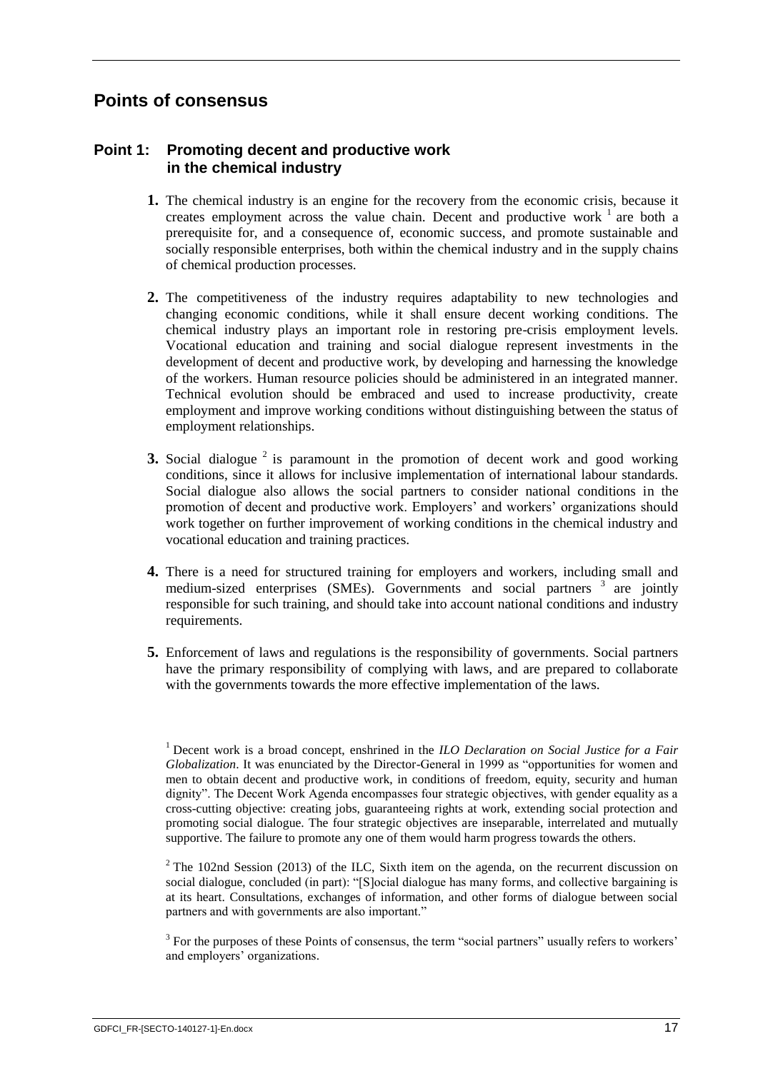# <span id="page-23-0"></span>**Points of consensus**

# <span id="page-23-1"></span>**Point 1: Promoting decent and productive work in the chemical industry**

- **1.** The chemical industry is an engine for the recovery from the economic crisis, because it creates employment across the value chain. Decent and productive work  $1$  are both a prerequisite for, and a consequence of, economic success, and promote sustainable and socially responsible enterprises, both within the chemical industry and in the supply chains of chemical production processes.
- **2.** The competitiveness of the industry requires adaptability to new technologies and changing economic conditions, while it shall ensure decent working conditions. The chemical industry plays an important role in restoring pre-crisis employment levels. Vocational education and training and social dialogue represent investments in the development of decent and productive work, by developing and harnessing the knowledge of the workers. Human resource policies should be administered in an integrated manner. Technical evolution should be embraced and used to increase productivity, create employment and improve working conditions without distinguishing between the status of employment relationships.
- **3.** Social dialogue <sup>2</sup> is paramount in the promotion of decent work and good working conditions, since it allows for inclusive implementation of international labour standards. Social dialogue also allows the social partners to consider national conditions in the promotion of decent and productive work. Employers' and workers' organizations should work together on further improvement of working conditions in the chemical industry and vocational education and training practices.
- **4.** There is a need for structured training for employers and workers, including small and medium-sized enterprises (SMEs). Governments and social partners <sup>3</sup> are jointly responsible for such training, and should take into account national conditions and industry requirements.
- **5.** Enforcement of laws and regulations is the responsibility of governments. Social partners have the primary responsibility of complying with laws, and are prepared to collaborate with the governments towards the more effective implementation of the laws.

<sup>2</sup> The 102nd Session (2013) of the ILC, Sixth item on the agenda, on the recurrent discussion on social dialogue, concluded (in part): "[S]ocial dialogue has many forms, and collective bargaining is at its heart. Consultations, exchanges of information, and other forms of dialogue between social partners and with governments are also important."

<sup>3</sup> For the purposes of these Points of consensus, the term "social partners" usually refers to workers' and employers' organizations.

<sup>1</sup> Decent work is a broad concept, enshrined in the *ILO Declaration on Social Justice for a Fair Globalization*. It was enunciated by the Director-General in 1999 as "opportunities for women and men to obtain decent and productive work, in conditions of freedom, equity, security and human dignity". The Decent Work Agenda encompasses four strategic objectives, with gender equality as a cross-cutting objective: creating jobs, guaranteeing rights at work, extending social protection and promoting social dialogue. The four strategic objectives are inseparable, interrelated and mutually supportive. The failure to promote any one of them would harm progress towards the others.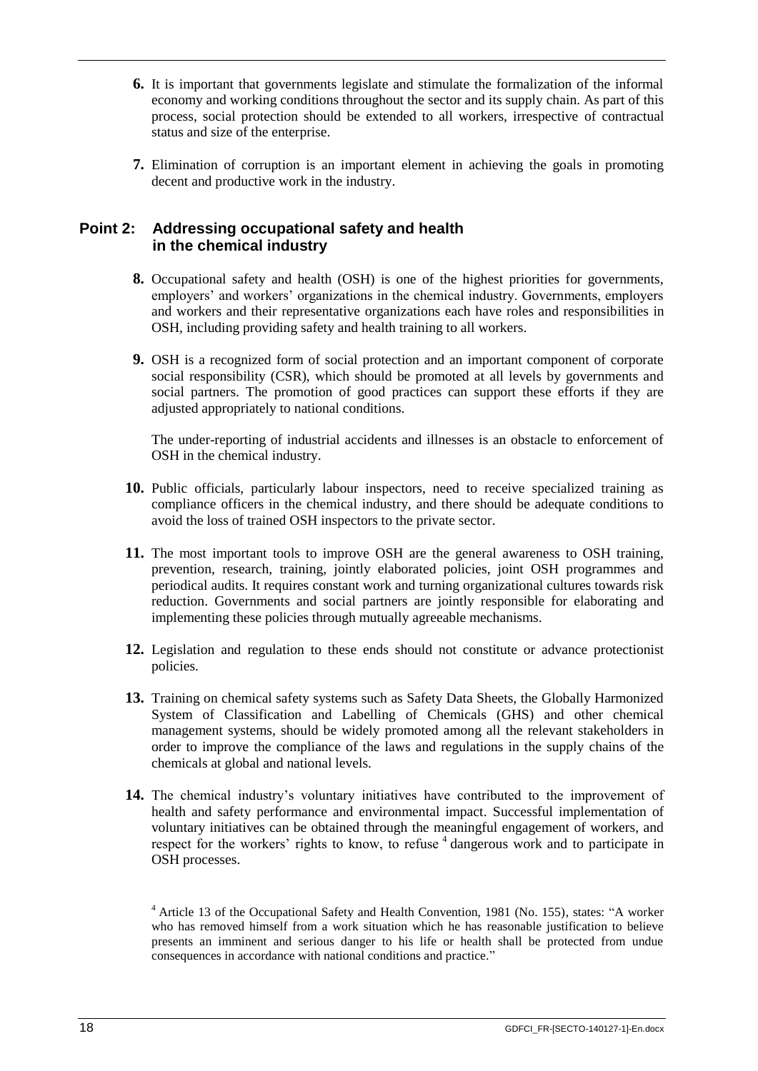- **6.** It is important that governments legislate and stimulate the formalization of the informal economy and working conditions throughout the sector and its supply chain. As part of this process, social protection should be extended to all workers, irrespective of contractual status and size of the enterprise.
- **7.** Elimination of corruption is an important element in achieving the goals in promoting decent and productive work in the industry.

## <span id="page-24-0"></span>**Point 2: Addressing occupational safety and health in the chemical industry**

- **8.** Occupational safety and health (OSH) is one of the highest priorities for governments, employers' and workers' organizations in the chemical industry. Governments, employers and workers and their representative organizations each have roles and responsibilities in OSH, including providing safety and health training to all workers.
- **9.** OSH is a recognized form of social protection and an important component of corporate social responsibility (CSR), which should be promoted at all levels by governments and social partners. The promotion of good practices can support these efforts if they are adjusted appropriately to national conditions.

The under-reporting of industrial accidents and illnesses is an obstacle to enforcement of OSH in the chemical industry.

- **10.** Public officials, particularly labour inspectors, need to receive specialized training as compliance officers in the chemical industry, and there should be adequate conditions to avoid the loss of trained OSH inspectors to the private sector.
- **11.** The most important tools to improve OSH are the general awareness to OSH training, prevention, research, training, jointly elaborated policies, joint OSH programmes and periodical audits. It requires constant work and turning organizational cultures towards risk reduction. Governments and social partners are jointly responsible for elaborating and implementing these policies through mutually agreeable mechanisms.
- **12.** Legislation and regulation to these ends should not constitute or advance protectionist policies.
- **13.** Training on chemical safety systems such as Safety Data Sheets, the Globally Harmonized System of Classification and Labelling of Chemicals (GHS) and other chemical management systems, should be widely promoted among all the relevant stakeholders in order to improve the compliance of the laws and regulations in the supply chains of the chemicals at global and national levels.
- **14.** The chemical industry's voluntary initiatives have contributed to the improvement of health and safety performance and environmental impact. Successful implementation of voluntary initiatives can be obtained through the meaningful engagement of workers, and respect for the workers' rights to know, to refuse <sup>4</sup> dangerous work and to participate in OSH processes.

<sup>4</sup> Article 13 of the Occupational Safety and Health Convention, 1981 (No. 155), states: "A worker who has removed himself from a work situation which he has reasonable justification to believe presents an imminent and serious danger to his life or health shall be protected from undue consequences in accordance with national conditions and practice."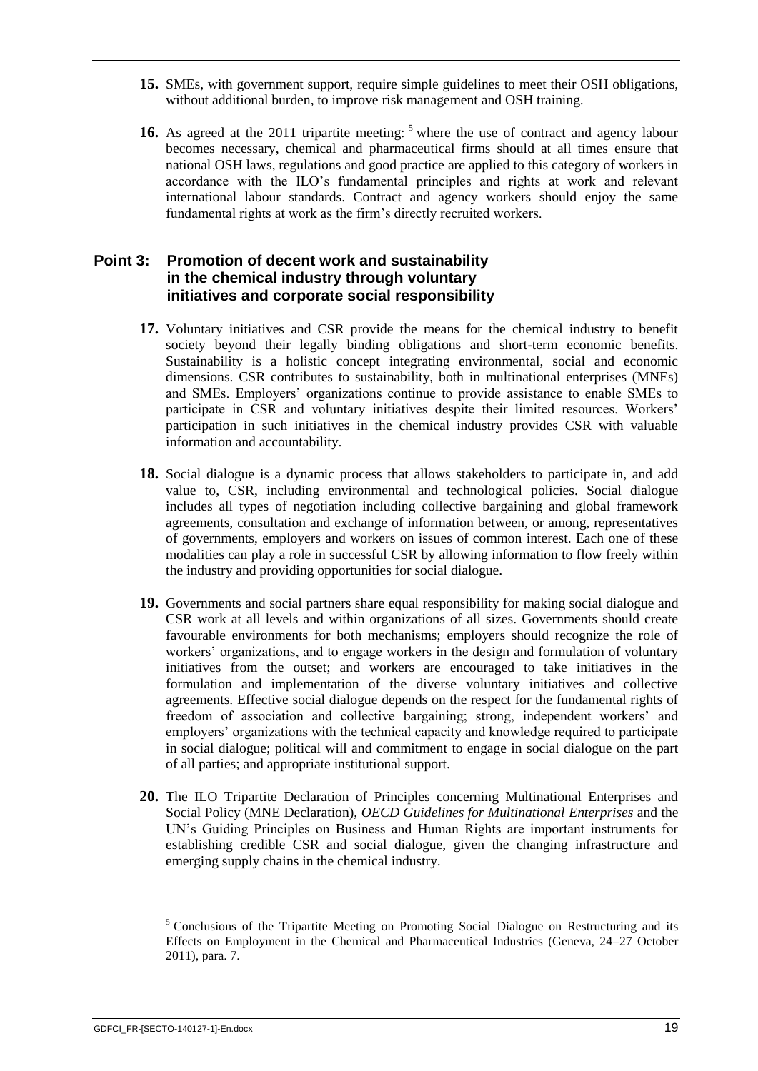- **15.** SMEs, with government support, require simple guidelines to meet their OSH obligations, without additional burden, to improve risk management and OSH training.
- **16.** As agreed at the 2011 tripartite meeting: <sup>5</sup> where the use of contract and agency labour becomes necessary, chemical and pharmaceutical firms should at all times ensure that national OSH laws, regulations and good practice are applied to this category of workers in accordance with the ILO's fundamental principles and rights at work and relevant international labour standards. Contract and agency workers should enjoy the same fundamental rights at work as the firm's directly recruited workers.

## <span id="page-25-0"></span>**Point 3: Promotion of decent work and sustainability in the chemical industry through voluntary initiatives and corporate social responsibility**

- **17.** Voluntary initiatives and CSR provide the means for the chemical industry to benefit society beyond their legally binding obligations and short-term economic benefits. Sustainability is a holistic concept integrating environmental, social and economic dimensions. CSR contributes to sustainability, both in multinational enterprises (MNEs) and SMEs. Employers' organizations continue to provide assistance to enable SMEs to participate in CSR and voluntary initiatives despite their limited resources. Workers' participation in such initiatives in the chemical industry provides CSR with valuable information and accountability.
- **18.** Social dialogue is a dynamic process that allows stakeholders to participate in, and add value to, CSR, including environmental and technological policies. Social dialogue includes all types of negotiation including collective bargaining and global framework agreements, consultation and exchange of information between, or among, representatives of governments, employers and workers on issues of common interest. Each one of these modalities can play a role in successful CSR by allowing information to flow freely within the industry and providing opportunities for social dialogue.
- **19.** Governments and social partners share equal responsibility for making social dialogue and CSR work at all levels and within organizations of all sizes. Governments should create favourable environments for both mechanisms; employers should recognize the role of workers' organizations, and to engage workers in the design and formulation of voluntary initiatives from the outset; and workers are encouraged to take initiatives in the formulation and implementation of the diverse voluntary initiatives and collective agreements. Effective social dialogue depends on the respect for the fundamental rights of freedom of association and collective bargaining; strong, independent workers' and employers' organizations with the technical capacity and knowledge required to participate in social dialogue; political will and commitment to engage in social dialogue on the part of all parties; and appropriate institutional support.
- **20.** The ILO Tripartite Declaration of Principles concerning Multinational Enterprises and Social Policy (MNE Declaration), *OECD Guidelines for Multinational Enterprises* and the UN's Guiding Principles on Business and Human Rights are important instruments for establishing credible CSR and social dialogue, given the changing infrastructure and emerging supply chains in the chemical industry.

 $<sup>5</sup>$  Conclusions of the Tripartite Meeting on Promoting Social Dialogue on Restructuring and its</sup> Effects on Employment in the Chemical and Pharmaceutical Industries (Geneva, 24–27 October 2011), para. 7.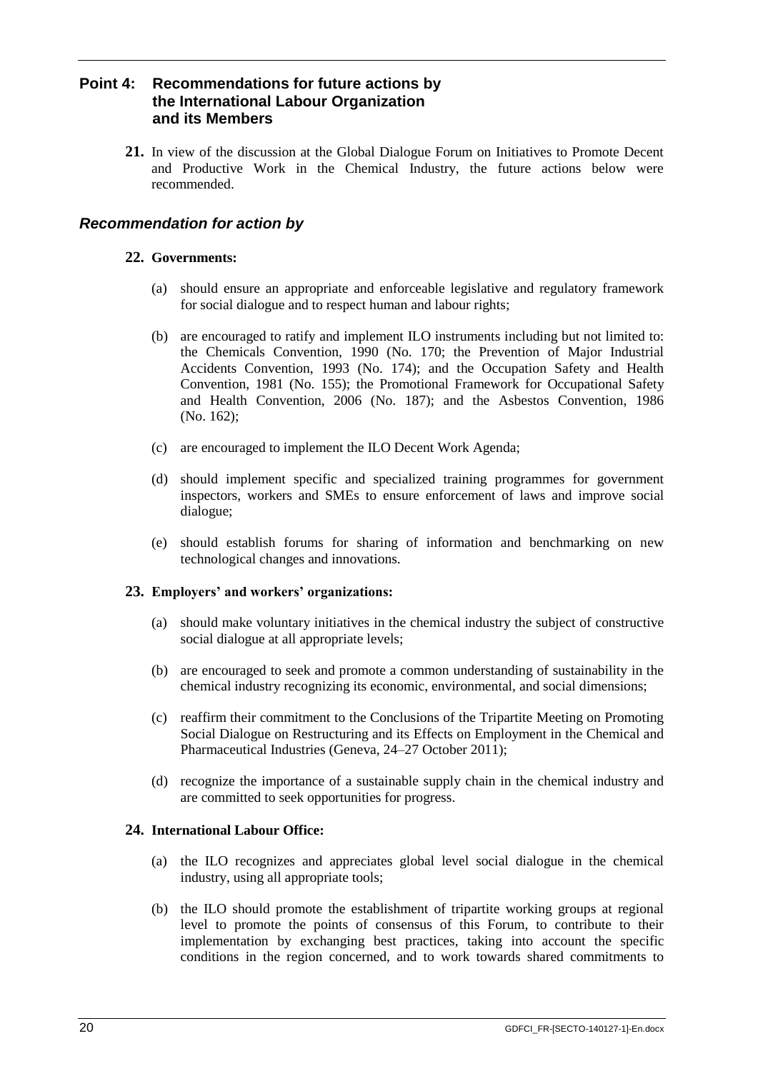# <span id="page-26-0"></span>**Point 4: Recommendations for future actions by the International Labour Organization and its Members**

**21.** In view of the discussion at the Global Dialogue Forum on Initiatives to Promote Decent and Productive Work in the Chemical Industry, the future actions below were recommended.

# *Recommendation for action by*

## **22. Governments:**

- (a) should ensure an appropriate and enforceable legislative and regulatory framework for social dialogue and to respect human and labour rights;
- (b) are encouraged to ratify and implement ILO instruments including but not limited to: the Chemicals Convention, 1990 (No. 170; the Prevention of Major Industrial Accidents Convention, 1993 (No. 174); and the Occupation Safety and Health Convention, 1981 (No. 155); the Promotional Framework for Occupational Safety and Health Convention, 2006 (No. 187); and the Asbestos Convention, 1986 (No. 162);
- (c) are encouraged to implement the ILO Decent Work Agenda;
- (d) should implement specific and specialized training programmes for government inspectors, workers and SMEs to ensure enforcement of laws and improve social dialogue;
- (e) should establish forums for sharing of information and benchmarking on new technological changes and innovations.

## **23. Employers' and workers' organizations:**

- (a) should make voluntary initiatives in the chemical industry the subject of constructive social dialogue at all appropriate levels;
- (b) are encouraged to seek and promote a common understanding of sustainability in the chemical industry recognizing its economic, environmental, and social dimensions;
- (c) reaffirm their commitment to the Conclusions of the Tripartite Meeting on Promoting Social Dialogue on Restructuring and its Effects on Employment in the Chemical and Pharmaceutical Industries (Geneva, 24–27 October 2011);
- (d) recognize the importance of a sustainable supply chain in the chemical industry and are committed to seek opportunities for progress.

## **24. International Labour Office:**

- (a) the ILO recognizes and appreciates global level social dialogue in the chemical industry, using all appropriate tools;
- (b) the ILO should promote the establishment of tripartite working groups at regional level to promote the points of consensus of this Forum, to contribute to their implementation by exchanging best practices, taking into account the specific conditions in the region concerned, and to work towards shared commitments to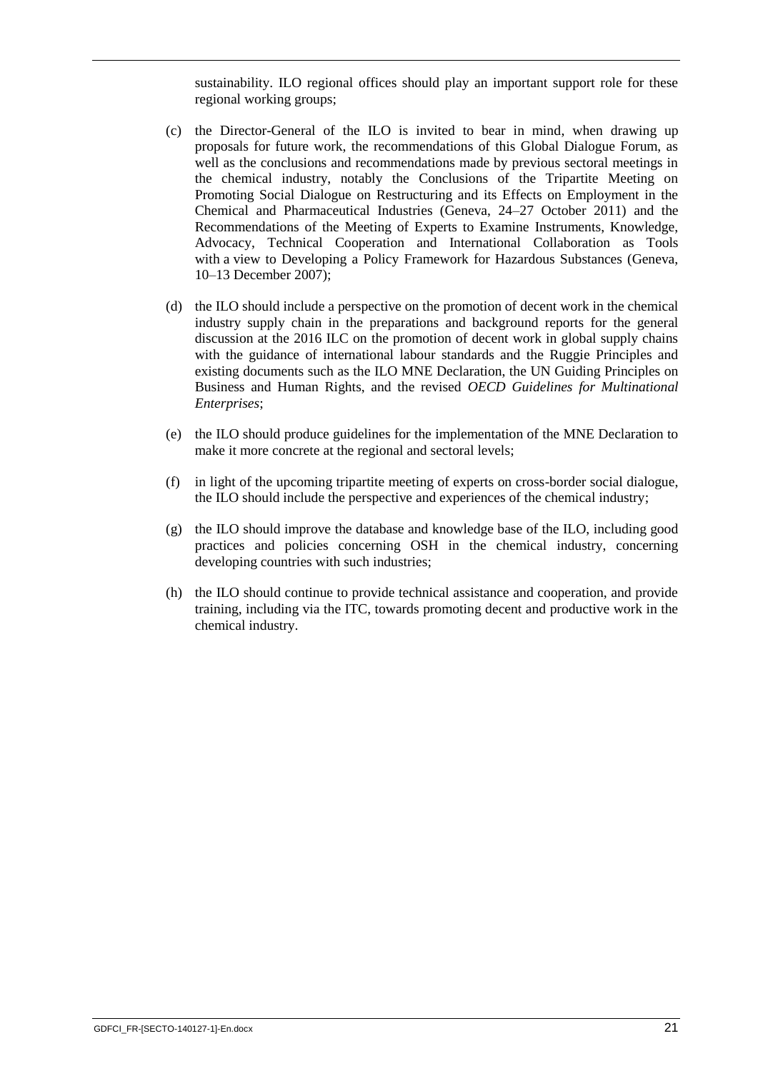sustainability. ILO regional offices should play an important support role for these regional working groups;

- (c) the Director-General of the ILO is invited to bear in mind, when drawing up proposals for future work, the recommendations of this Global Dialogue Forum, as well as the conclusions and recommendations made by previous sectoral meetings in the chemical industry, notably the Conclusions of the Tripartite Meeting on Promoting Social Dialogue on Restructuring and its Effects on Employment in the Chemical and Pharmaceutical Industries (Geneva, 24–27 October 2011) and the Recommendations of the Meeting of Experts to Examine Instruments, Knowledge, Advocacy, Technical Cooperation and International Collaboration as Tools with a view to Developing a Policy Framework for Hazardous Substances (Geneva, 10–13 December 2007);
- (d) the ILO should include a perspective on the promotion of decent work in the chemical industry supply chain in the preparations and background reports for the general discussion at the 2016 ILC on the promotion of decent work in global supply chains with the guidance of international labour standards and the Ruggie Principles and existing documents such as the ILO MNE Declaration, the UN Guiding Principles on Business and Human Rights, and the revised *OECD Guidelines for Multinational Enterprises*;
- (e) the ILO should produce guidelines for the implementation of the MNE Declaration to make it more concrete at the regional and sectoral levels;
- (f) in light of the upcoming tripartite meeting of experts on cross-border social dialogue, the ILO should include the perspective and experiences of the chemical industry;
- (g) the ILO should improve the database and knowledge base of the ILO, including good practices and policies concerning OSH in the chemical industry, concerning developing countries with such industries;
- (h) the ILO should continue to provide technical assistance and cooperation, and provide training, including via the ITC, towards promoting decent and productive work in the chemical industry.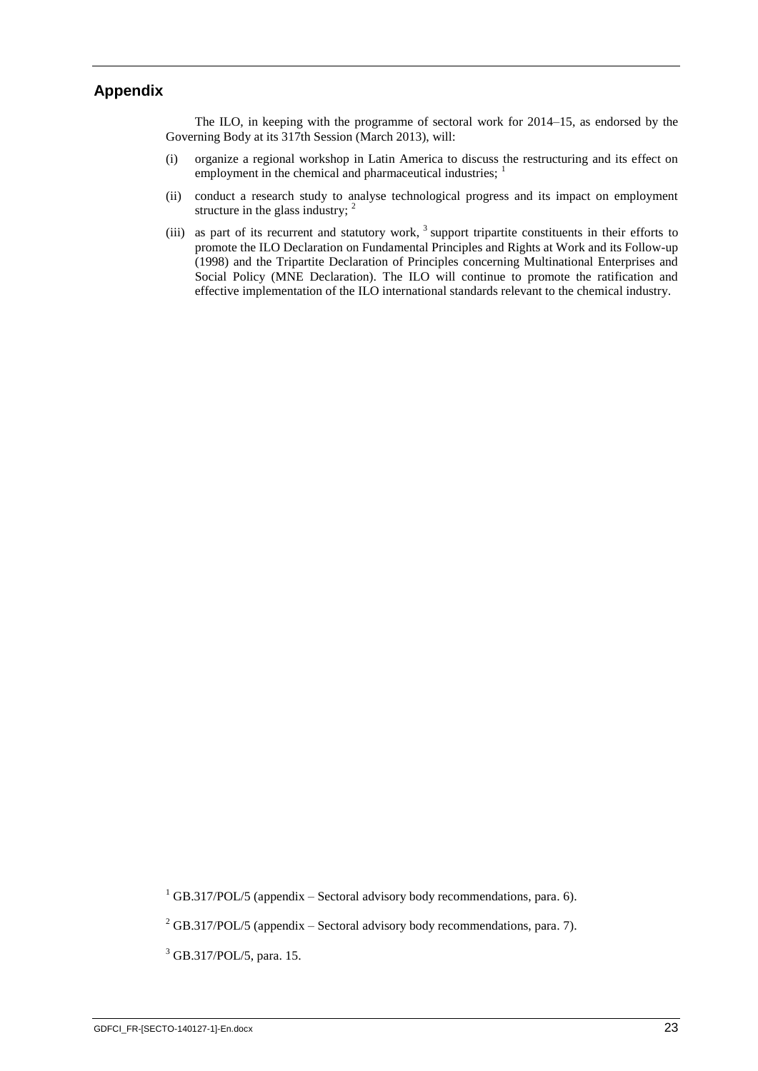# <span id="page-29-0"></span>**Appendix**

The ILO, in keeping with the programme of sectoral work for 2014–15, as endorsed by the Governing Body at its 317th Session (March 2013), will:

- (i) organize a regional workshop in Latin America to discuss the restructuring and its effect on employment in the chemical and pharmaceutical industries; <sup>1</sup>
- (ii) conduct a research study to analyse technological progress and its impact on employment structure in the glass industry;  $2^2$
- (iii) as part of its recurrent and statutory work,  $3$  support tripartite constituents in their efforts to promote the ILO Declaration on Fundamental Principles and Rights at Work and its Follow-up (1998) and the Tripartite Declaration of Principles concerning Multinational Enterprises and Social Policy (MNE Declaration). The ILO will continue to promote the ratification and effective implementation of the ILO international standards relevant to the chemical industry.

<sup>3</sup> GB.317/POL/5, para. 15.

 $1$  GB.317/POL/5 (appendix – Sectoral advisory body recommendations, para. 6).

 $^{2}$  GB.317/POL/5 (appendix – Sectoral advisory body recommendations, para. 7).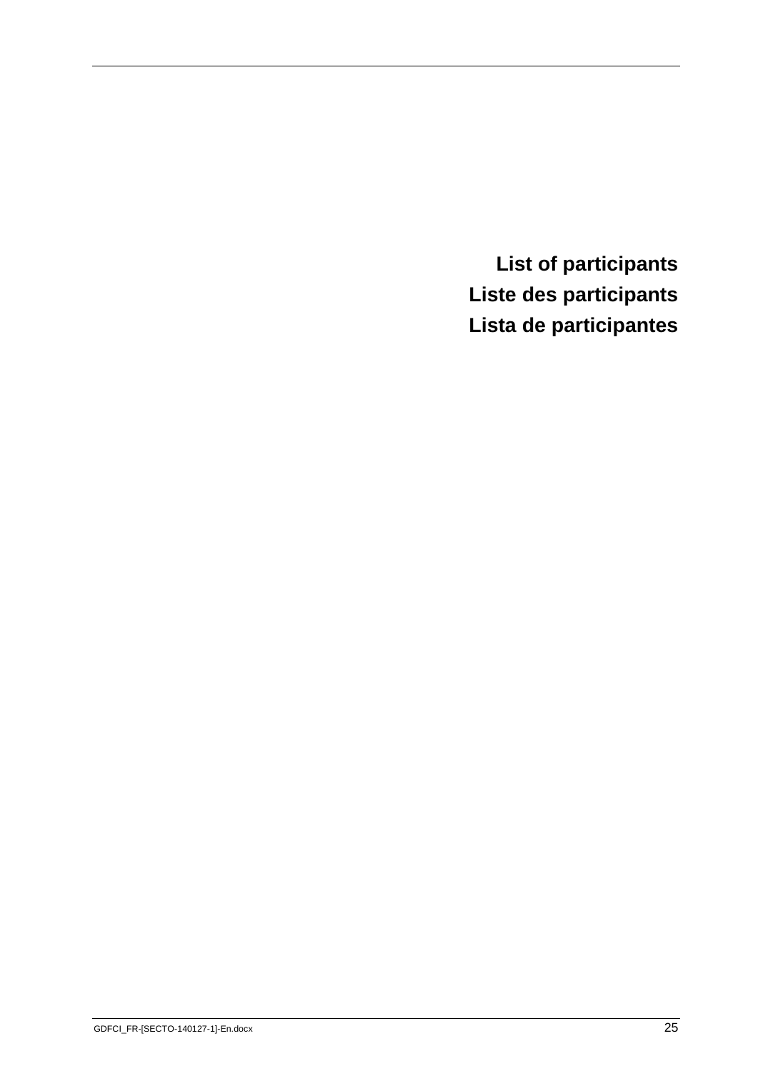<span id="page-31-0"></span>**List of participants Liste des participants Lista de participantes**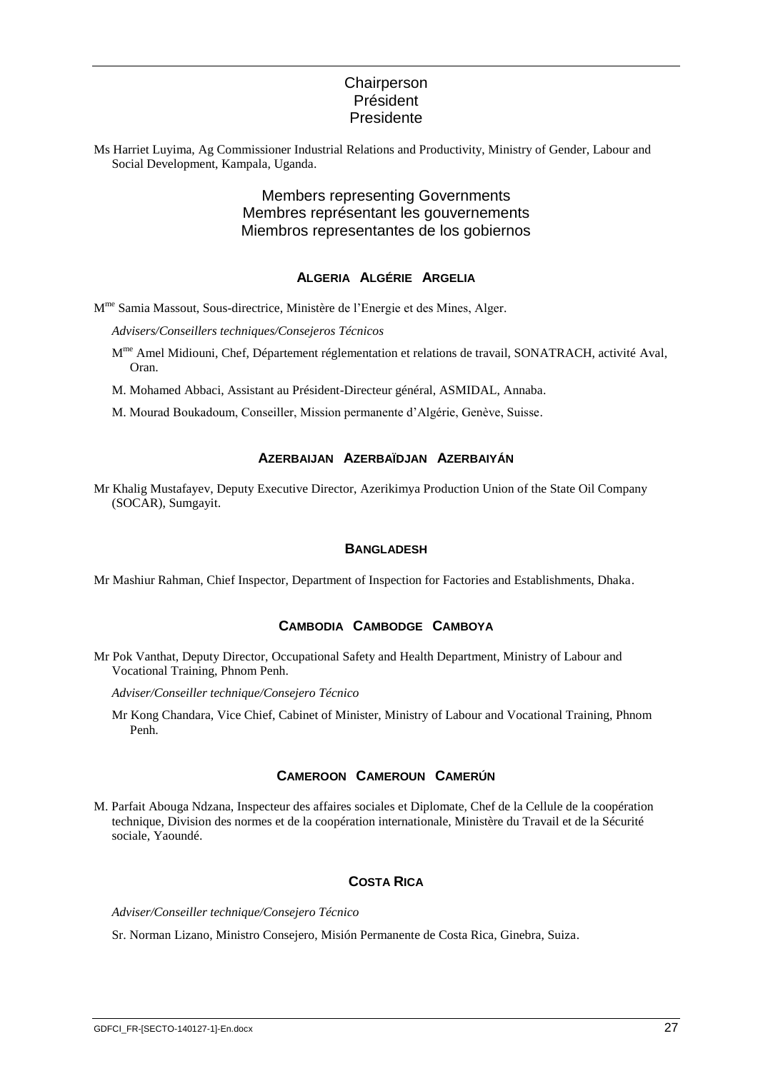## **Chairperson** Président Presidente

Ms Harriet Luyima, Ag Commissioner Industrial Relations and Productivity, Ministry of Gender, Labour and Social Development, Kampala, Uganda.

> Members representing Governments Membres représentant les gouvernements Miembros representantes de los gobiernos

## **ALGERIA ALGÉRIE ARGELIA**

M<sup>me</sup> Samia Massout, Sous-directrice, Ministère de l'Energie et des Mines, Alger.

*Advisers/Conseillers techniques/Consejeros Técnicos*

- M<sup>me</sup> Amel Midiouni, Chef, Département réglementation et relations de travail, SONATRACH, activité Aval, Oran.
- M. Mohamed Abbaci, Assistant au Président-Directeur général, ASMIDAL, Annaba.
- M. Mourad Boukadoum, Conseiller, Mission permanente d'Algérie, Genève, Suisse.

#### **AZERBAIJAN AZERBAÏDJAN AZERBAIYÁN**

Mr Khalig Mustafayev, Deputy Executive Director, Azerikimya Production Union of the State Oil Company (SOCAR), Sumgayit.

#### **BANGLADESH**

Mr Mashiur Rahman, Chief Inspector, Department of Inspection for Factories and Establishments, Dhaka.

#### **CAMBODIA CAMBODGE CAMBOYA**

Mr Pok Vanthat, Deputy Director, Occupational Safety and Health Department, Ministry of Labour and Vocational Training, Phnom Penh.

*Adviser/Conseiller technique/Consejero Técnico*

Mr Kong Chandara, Vice Chief, Cabinet of Minister, Ministry of Labour and Vocational Training, Phnom Penh.

#### **CAMEROON CAMEROUN CAMERÚN**

M. Parfait Abouga Ndzana, Inspecteur des affaires sociales et Diplomate, Chef de la Cellule de la coopération technique, Division des normes et de la coopération internationale, Ministère du Travail et de la Sécurité sociale, Yaoundé.

#### **COSTA RICA**

*Adviser/Conseiller technique/Consejero Técnico*

Sr. Norman Lizano, Ministro Consejero, Misión Permanente de Costa Rica, Ginebra, Suiza.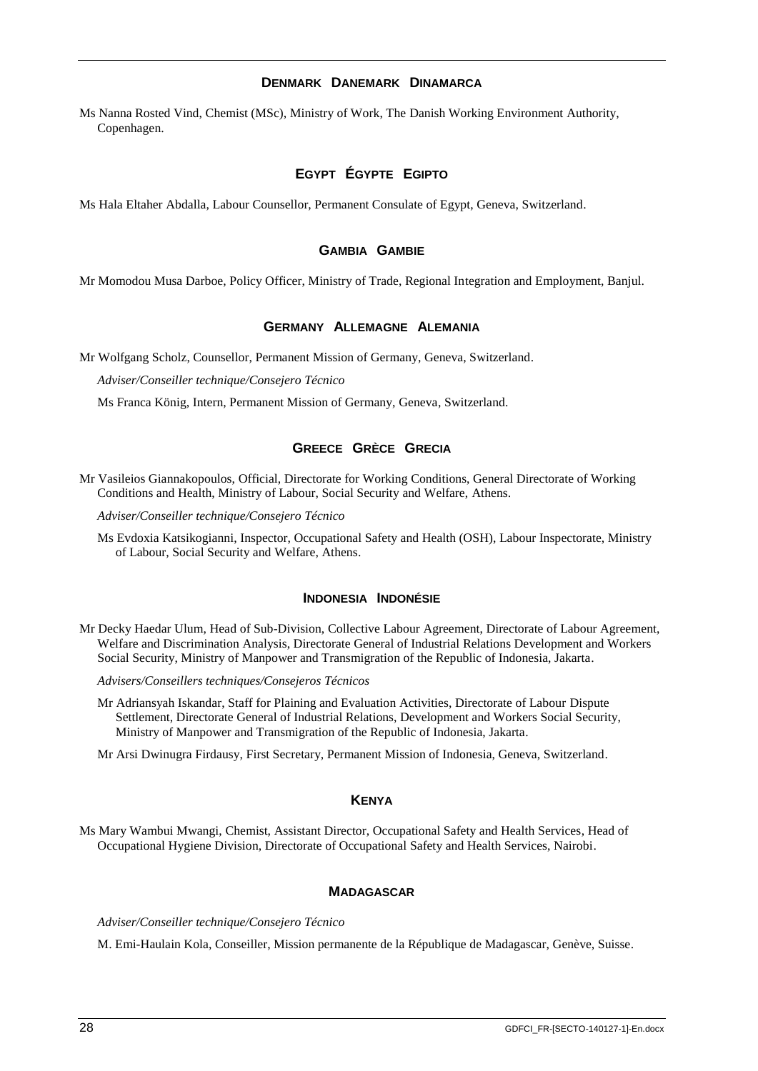#### **DENMARK DANEMARK DINAMARCA**

Ms Nanna Rosted Vind, Chemist (MSc), Ministry of Work, The Danish Working Environment Authority, Copenhagen.

## **EGYPT ÉGYPTE EGIPTO**

Ms Hala Eltaher Abdalla, Labour Counsellor, Permanent Consulate of Egypt, Geneva, Switzerland.

#### **GAMBIA GAMBIE**

Mr Momodou Musa Darboe, Policy Officer, Ministry of Trade, Regional Integration and Employment, Banjul.

#### **GERMANY ALLEMAGNE ALEMANIA**

Mr Wolfgang Scholz, Counsellor, Permanent Mission of Germany, Geneva, Switzerland.

*Adviser/Conseiller technique/Consejero Técnico*

Ms Franca König, Intern, Permanent Mission of Germany, Geneva, Switzerland.

#### **GREECE GRÈCE GRECIA**

Mr Vasileios Giannakopoulos, Official, Directorate for Working Conditions, General Directorate of Working Conditions and Health, Ministry of Labour, Social Security and Welfare, Athens.

*Adviser/Conseiller technique/Consejero Técnico*

Ms Evdoxia Katsikogianni, Inspector, Occupational Safety and Health (OSH), Labour Inspectorate, Ministry of Labour, Social Security and Welfare, Athens.

#### **INDONESIA INDONÉSIE**

Mr Decky Haedar Ulum, Head of Sub-Division, Collective Labour Agreement, Directorate of Labour Agreement, Welfare and Discrimination Analysis, Directorate General of Industrial Relations Development and Workers Social Security, Ministry of Manpower and Transmigration of the Republic of Indonesia, Jakarta.

*Advisers/Conseillers techniques/Consejeros Técnicos*

Mr Adriansyah Iskandar, Staff for Plaining and Evaluation Activities, Directorate of Labour Dispute Settlement, Directorate General of Industrial Relations, Development and Workers Social Security, Ministry of Manpower and Transmigration of the Republic of Indonesia, Jakarta.

Mr Arsi Dwinugra Firdausy, First Secretary, Permanent Mission of Indonesia, Geneva, Switzerland.

#### **KENYA**

Ms Mary Wambui Mwangi, Chemist, Assistant Director, Occupational Safety and Health Services, Head of Occupational Hygiene Division, Directorate of Occupational Safety and Health Services, Nairobi.

#### **MADAGASCAR**

*Adviser/Conseiller technique/Consejero Técnico*

M. Emi-Haulain Kola, Conseiller, Mission permanente de la République de Madagascar, Genève, Suisse.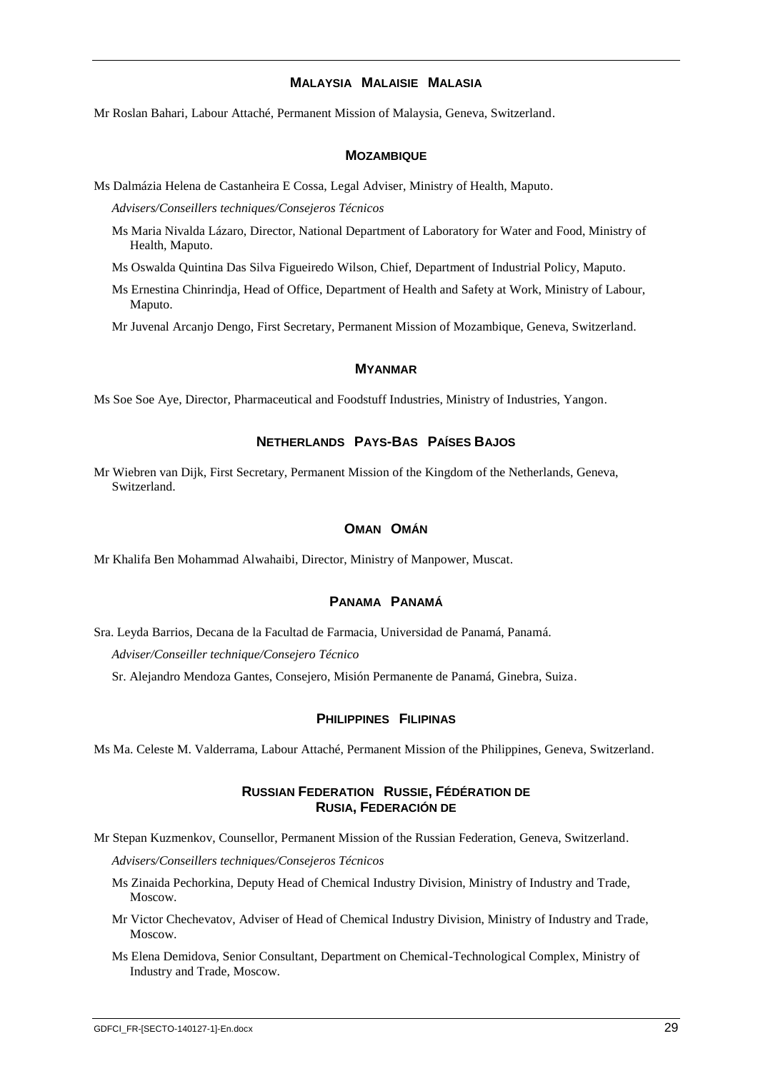#### **MALAYSIA MALAISIE MALASIA**

Mr Roslan Bahari, Labour Attaché, Permanent Mission of Malaysia, Geneva, Switzerland.

#### **MOZAMBIQUE**

Ms Dalmázia Helena de Castanheira E Cossa, Legal Adviser, Ministry of Health, Maputo.

*Advisers/Conseillers techniques/Consejeros Técnicos*

- Ms Maria Nivalda Lázaro, Director, National Department of Laboratory for Water and Food, Ministry of Health, Maputo.
- Ms Oswalda Quintina Das Silva Figueiredo Wilson, Chief, Department of Industrial Policy, Maputo.
- Ms Ernestina Chinrindja, Head of Office, Department of Health and Safety at Work, Ministry of Labour, Maputo.

Mr Juvenal Arcanjo Dengo, First Secretary, Permanent Mission of Mozambique, Geneva, Switzerland.

#### **MYANMAR**

Ms Soe Soe Aye, Director, Pharmaceutical and Foodstuff Industries, Ministry of Industries, Yangon.

## **NETHERLANDS PAYS-BAS PAÍSES BAJOS**

Mr Wiebren van Dijk, First Secretary, Permanent Mission of the Kingdom of the Netherlands, Geneva, Switzerland.

#### **OMAN OMÁN**

Mr Khalifa Ben Mohammad Alwahaibi, Director, Ministry of Manpower, Muscat.

#### **PANAMA PANAMÁ**

Sra. Leyda Barrios, Decana de la Facultad de Farmacia, Universidad de Panamá, Panamá.

*Adviser/Conseiller technique/Consejero Técnico*

Sr. Alejandro Mendoza Gantes, Consejero, Misión Permanente de Panamá, Ginebra, Suiza.

#### **PHILIPPINES FILIPINAS**

Ms Ma. Celeste M. Valderrama, Labour Attaché, Permanent Mission of the Philippines, Geneva, Switzerland.

#### **RUSSIAN FEDERATION RUSSIE, FÉDÉRATION DE RUSIA, FEDERACIÓN DE**

Mr Stepan Kuzmenkov, Counsellor, Permanent Mission of the Russian Federation, Geneva, Switzerland.

*Advisers/Conseillers techniques/Consejeros Técnicos*

- Ms Zinaida Pechorkina, Deputy Head of Chemical Industry Division, Ministry of Industry and Trade, Moscow.
- Mr Victor Chechevatov, Adviser of Head of Chemical Industry Division, Ministry of Industry and Trade, Moscow.
- Ms Elena Demidova, Senior Consultant, Department on Chemical-Technological Complex, Ministry of Industry and Trade, Moscow.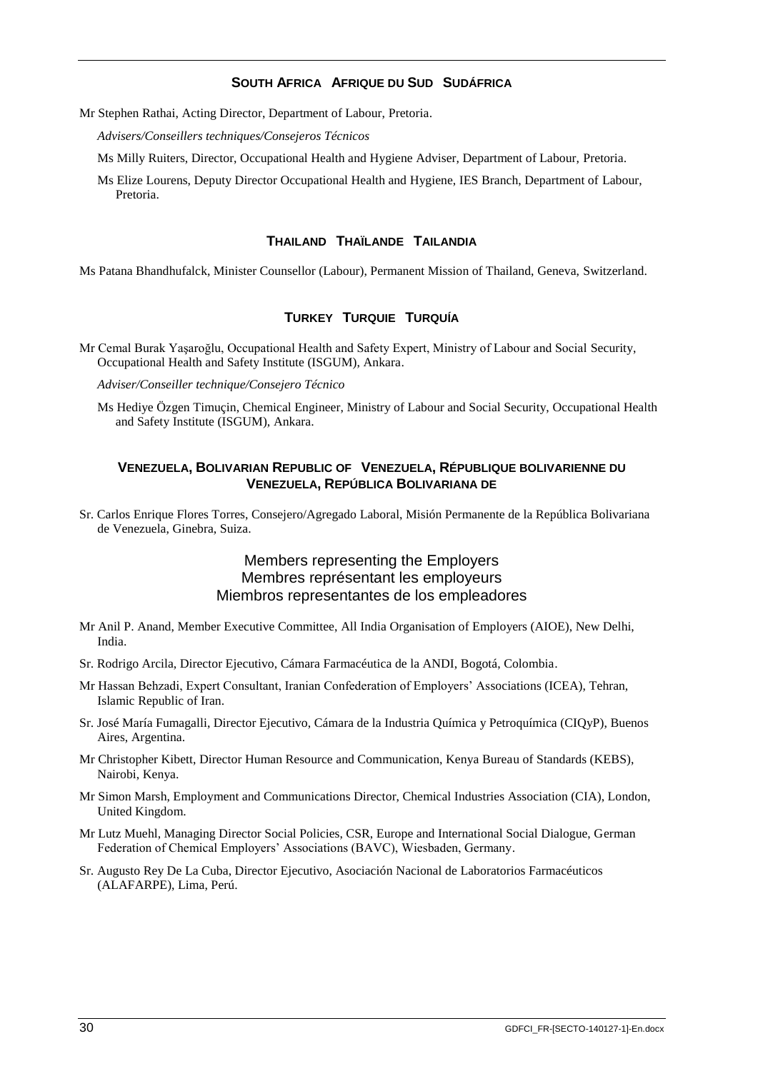## **SOUTH AFRICA AFRIQUE DU SUD SUDÁFRICA**

Mr Stephen Rathai, Acting Director, Department of Labour, Pretoria.

*Advisers/Conseillers techniques/Consejeros Técnicos*

Ms Milly Ruiters, Director, Occupational Health and Hygiene Adviser, Department of Labour, Pretoria.

Ms Elize Lourens, Deputy Director Occupational Health and Hygiene, IES Branch, Department of Labour, Pretoria.

#### **THAILAND THAÏLANDE TAILANDIA**

Ms Patana Bhandhufalck, Minister Counsellor (Labour), Permanent Mission of Thailand, Geneva, Switzerland.

#### **TURKEY TURQUIE TURQUÍA**

Mr Cemal Burak Yaşaroğlu, Occupational Health and Safety Expert, Ministry of Labour and Social Security, Occupational Health and Safety Institute (ISGUM), Ankara.

*Adviser/Conseiller technique/Consejero Técnico*

Ms Hediye Özgen Timuçin, Chemical Engineer, Ministry of Labour and Social Security, Occupational Health and Safety Institute (ISGUM), Ankara.

#### **VENEZUELA, BOLIVARIAN REPUBLIC OF VENEZUELA, RÉPUBLIQUE BOLIVARIENNE DU VENEZUELA, REPÚBLICA BOLIVARIANA DE**

Sr. Carlos Enrique Flores Torres, Consejero/Agregado Laboral, Misión Permanente de la República Bolivariana de Venezuela, Ginebra, Suiza.

## Members representing the Employers Membres représentant les employeurs Miembros representantes de los empleadores

- Mr Anil P. Anand, Member Executive Committee, All India Organisation of Employers (AIOE), New Delhi, India.
- Sr. Rodrigo Arcila, Director Ejecutivo, Cámara Farmacéutica de la ANDI, Bogotá, Colombia.
- Mr Hassan Behzadi, Expert Consultant, Iranian Confederation of Employers' Associations (ICEA), Tehran, Islamic Republic of Iran.
- Sr. José María Fumagalli, Director Ejecutivo, Cámara de la Industria Química y Petroquímica (CIQyP), Buenos Aires, Argentina.
- Mr Christopher Kibett, Director Human Resource and Communication, Kenya Bureau of Standards (KEBS), Nairobi, Kenya.
- Mr Simon Marsh, Employment and Communications Director, Chemical Industries Association (CIA), London, United Kingdom.
- Mr Lutz Muehl, Managing Director Social Policies, CSR, Europe and International Social Dialogue, German Federation of Chemical Employers' Associations (BAVC), Wiesbaden, Germany.
- Sr. Augusto Rey De La Cuba, Director Ejecutivo, Asociación Nacional de Laboratorios Farmacéuticos (ALAFARPE), Lima, Perú.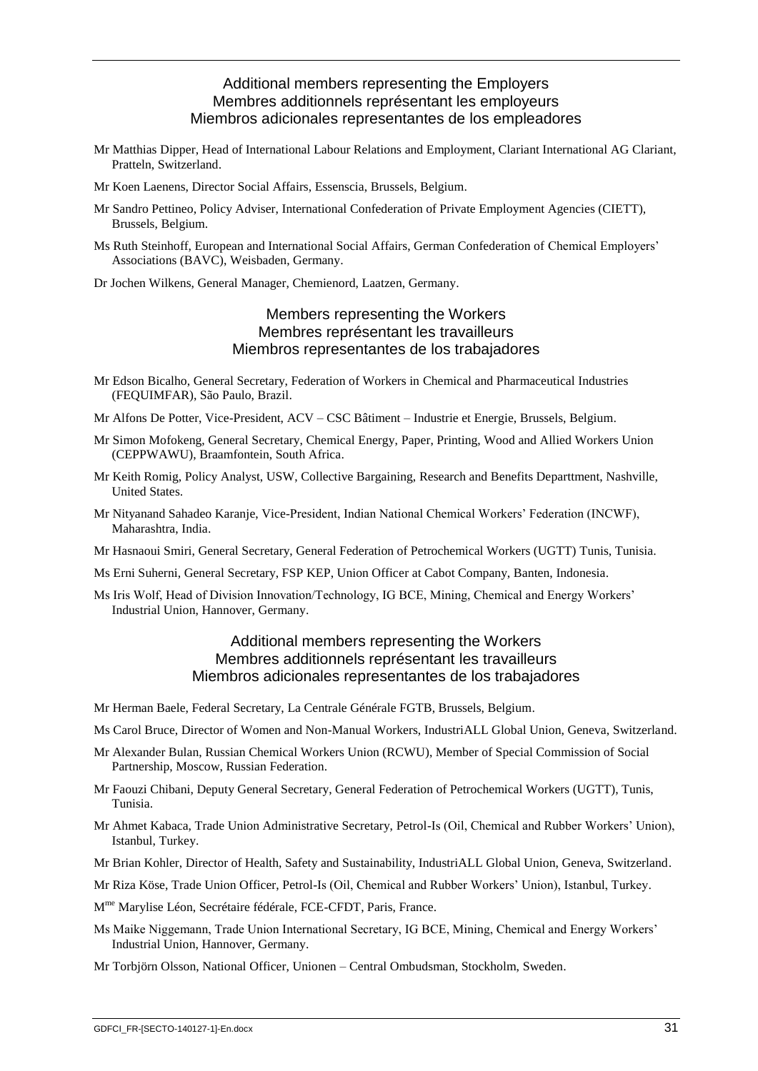## Additional members representing the Employers Membres additionnels représentant les employeurs Miembros adicionales representantes de los empleadores

- Mr Matthias Dipper, Head of International Labour Relations and Employment, Clariant International AG Clariant, Pratteln, Switzerland.
- Mr Koen Laenens, Director Social Affairs, Essenscia, Brussels, Belgium.
- Mr Sandro Pettineo, Policy Adviser, International Confederation of Private Employment Agencies (CIETT), Brussels, Belgium.
- Ms Ruth Steinhoff, European and International Social Affairs, German Confederation of Chemical Employers' Associations (BAVC), Weisbaden, Germany.
- Dr Jochen Wilkens, General Manager, Chemienord, Laatzen, Germany.

## Members representing the Workers Membres représentant les travailleurs Miembros representantes de los trabajadores

- Mr Edson Bicalho, General Secretary, Federation of Workers in Chemical and Pharmaceutical Industries (FEQUIMFAR), São Paulo, Brazil.
- Mr Alfons De Potter, Vice-President, ACV CSC Bâtiment Industrie et Energie, Brussels, Belgium.
- Mr Simon Mofokeng, General Secretary, Chemical Energy, Paper, Printing, Wood and Allied Workers Union (CEPPWAWU), Braamfontein, South Africa.
- Mr Keith Romig, Policy Analyst, USW, Collective Bargaining, Research and Benefits Departtment, Nashville, United States.
- Mr Nityanand Sahadeo Karanje, Vice-President, Indian National Chemical Workers' Federation (INCWF), Maharashtra, India.
- Mr Hasnaoui Smiri, General Secretary, General Federation of Petrochemical Workers (UGTT) Tunis, Tunisia.
- Ms Erni Suherni, General Secretary, FSP KEP, Union Officer at Cabot Company, Banten, Indonesia.
- Ms Iris Wolf, Head of Division Innovation/Technology, IG BCE, Mining, Chemical and Energy Workers' Industrial Union, Hannover, Germany.

## Additional members representing the Workers Membres additionnels représentant les travailleurs Miembros adicionales representantes de los trabajadores

- Mr Herman Baele, Federal Secretary, La Centrale Générale FGTB, Brussels, Belgium.
- Ms Carol Bruce, Director of Women and Non-Manual Workers, IndustriALL Global Union, Geneva, Switzerland.
- Mr Alexander Bulan, Russian Chemical Workers Union (RCWU), Member of Special Commission of Social Partnership, Moscow, Russian Federation.
- Mr Faouzi Chibani, Deputy General Secretary, General Federation of Petrochemical Workers (UGTT), Tunis, Tunisia.
- Mr Ahmet Kabaca, Trade Union Administrative Secretary, Petrol-Is (Oil, Chemical and Rubber Workers' Union), Istanbul, Turkey.
- Mr Brian Kohler, Director of Health, Safety and Sustainability, IndustriALL Global Union, Geneva, Switzerland.
- Mr Riza Köse, Trade Union Officer, Petrol-Is (Oil, Chemical and Rubber Workers' Union), Istanbul, Turkey.
- M me Marylise Léon, Secrétaire fédérale, FCE-CFDT, Paris, France.
- Ms Maike Niggemann, Trade Union International Secretary, IG BCE, Mining, Chemical and Energy Workers' Industrial Union, Hannover, Germany.
- Mr Torbjörn Olsson, National Officer, Unionen Central Ombudsman, Stockholm, Sweden.